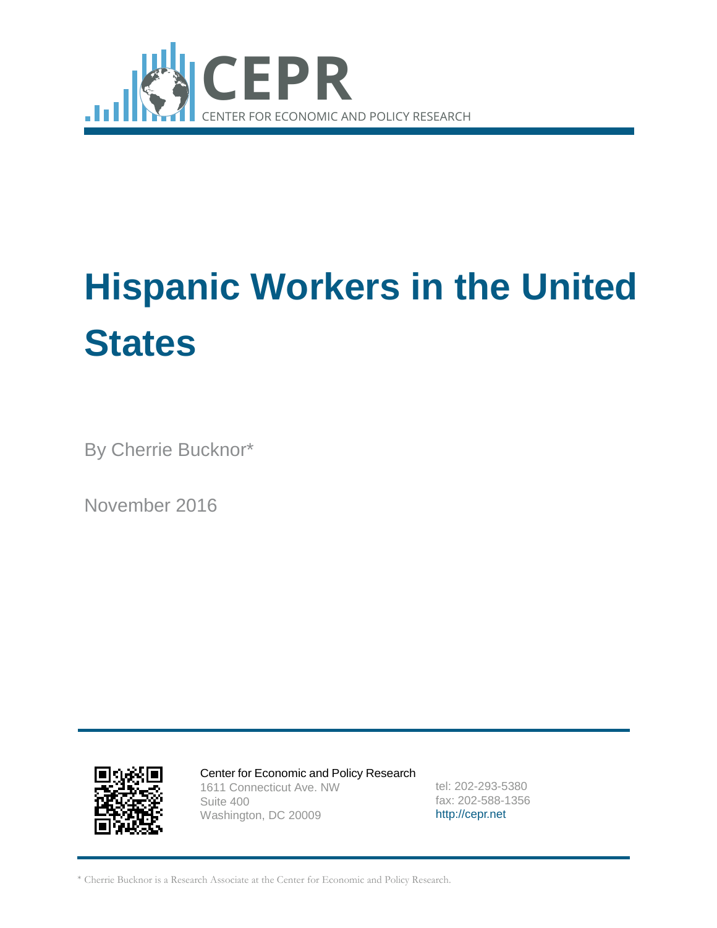

# **Hispanic Workers in the United States**

By Cherrie Bucknor\*

November 2016



Center for Economic and Policy Research 1611 Connecticut Ave. NW Suite 400 Washington, DC 20009

tel: 202-293-5380 fax: 202-588-1356 [http://cepr.net](http://cepr.net/)

\* Cherrie Bucknor is a Research Associate at the Center for Economic and Policy Research.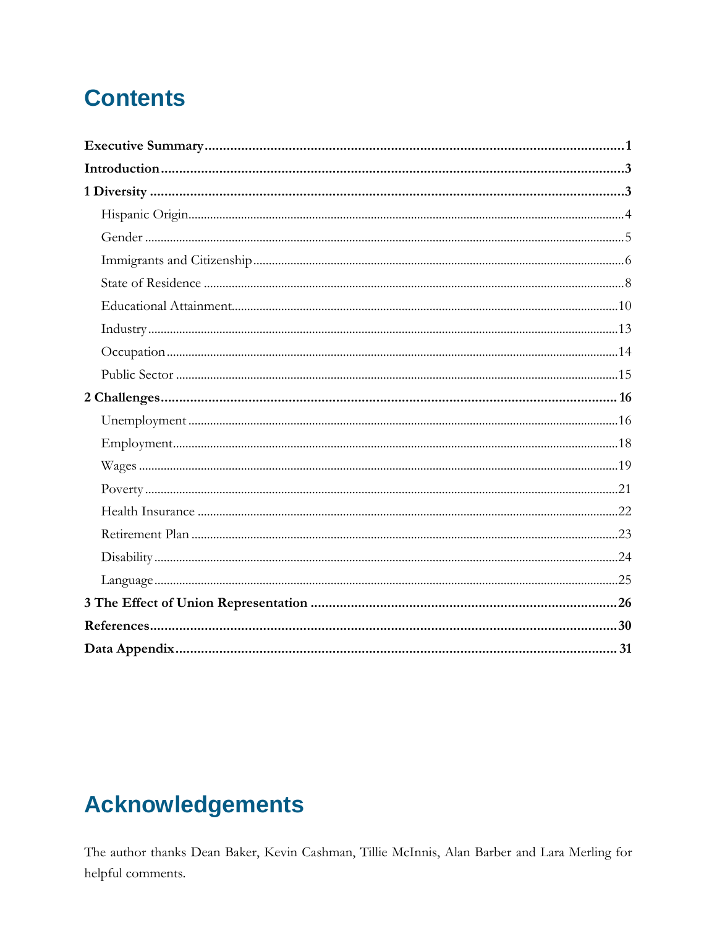# **Contents**

# **Acknowledgements**

The author thanks Dean Baker, Kevin Cashman, Tillie McInnis, Alan Barber and Lara Merling for helpful comments.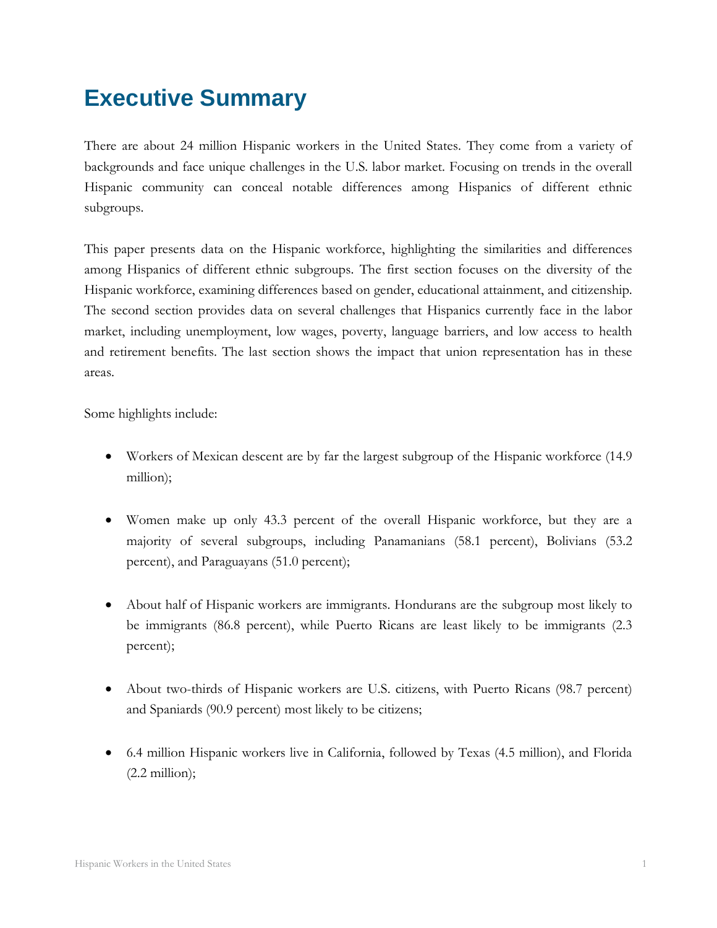# <span id="page-2-0"></span>**Executive Summary**

There are about 24 million Hispanic workers in the United States. They come from a variety of backgrounds and face unique challenges in the U.S. labor market. Focusing on trends in the overall Hispanic community can conceal notable differences among Hispanics of different ethnic subgroups.

This paper presents data on the Hispanic workforce, highlighting the similarities and differences among Hispanics of different ethnic subgroups. The first section focuses on the diversity of the Hispanic workforce, examining differences based on gender, educational attainment, and citizenship. The second section provides data on several challenges that Hispanics currently face in the labor market, including unemployment, low wages, poverty, language barriers, and low access to health and retirement benefits. The last section shows the impact that union representation has in these areas.

Some highlights include:

- Workers of Mexican descent are by far the largest subgroup of the Hispanic workforce (14.9) million);
- Women make up only 43.3 percent of the overall Hispanic workforce, but they are a majority of several subgroups, including Panamanians (58.1 percent), Bolivians (53.2 percent), and Paraguayans (51.0 percent);
- About half of Hispanic workers are immigrants. Hondurans are the subgroup most likely to be immigrants (86.8 percent), while Puerto Ricans are least likely to be immigrants (2.3 percent);
- About two-thirds of Hispanic workers are U.S. citizens, with Puerto Ricans (98.7 percent) and Spaniards (90.9 percent) most likely to be citizens;
- 6.4 million Hispanic workers live in California, followed by Texas (4.5 million), and Florida  $(2.2 \text{ million});$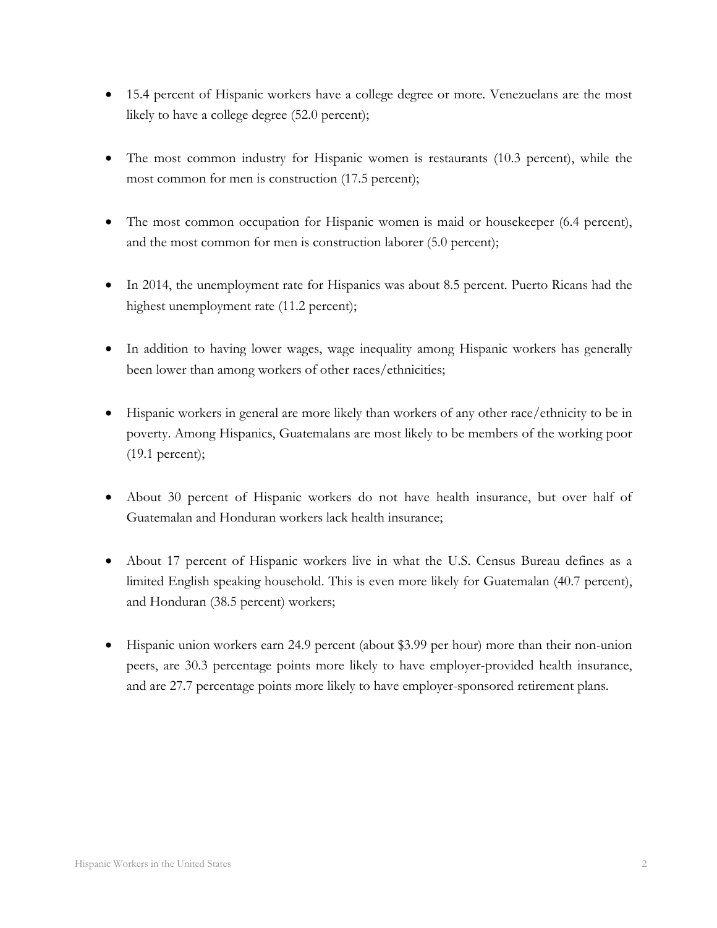- 15.4 percent of Hispanic workers have a college degree or more. Venezuelans are the most likely to have a college degree (52.0 percent);
- The most common industry for Hispanic women is restaurants (10.3 percent), while the most common for men is construction (17.5 percent);
- The most common occupation for Hispanic women is maid or housekeeper (6.4 percent), and the most common for men is construction laborer (5.0 percent);
- In 2014, the unemployment rate for Hispanics was about 8.5 percent. Puerto Ricans had the highest unemployment rate (11.2 percent);
- In addition to having lower wages, wage inequality among Hispanic workers has generally been lower than among workers of other races/ethnicities;
- Hispanic workers in general are more likely than workers of any other race/ethnicity to be in poverty. Among Hispanics, Guatemalans are most likely to be members of the working poor (19.1 percent);
- About 30 percent of Hispanic workers do not have health insurance, but over half of Guatemalan and Honduran workers lack health insurance;
- About 17 percent of Hispanic workers live in what the U.S. Census Bureau defines as a limited English speaking household. This is even more likely for Guatemalan (40.7 percent), and Honduran (38.5 percent) workers;
- Hispanic union workers earn 24.9 percent (about \$3.99 per hour) more than their non-union peers, are 30.3 percentage points more likely to have employer-provided health insurance, and are 27.7 percentage points more likely to have employer-sponsored retirement plans.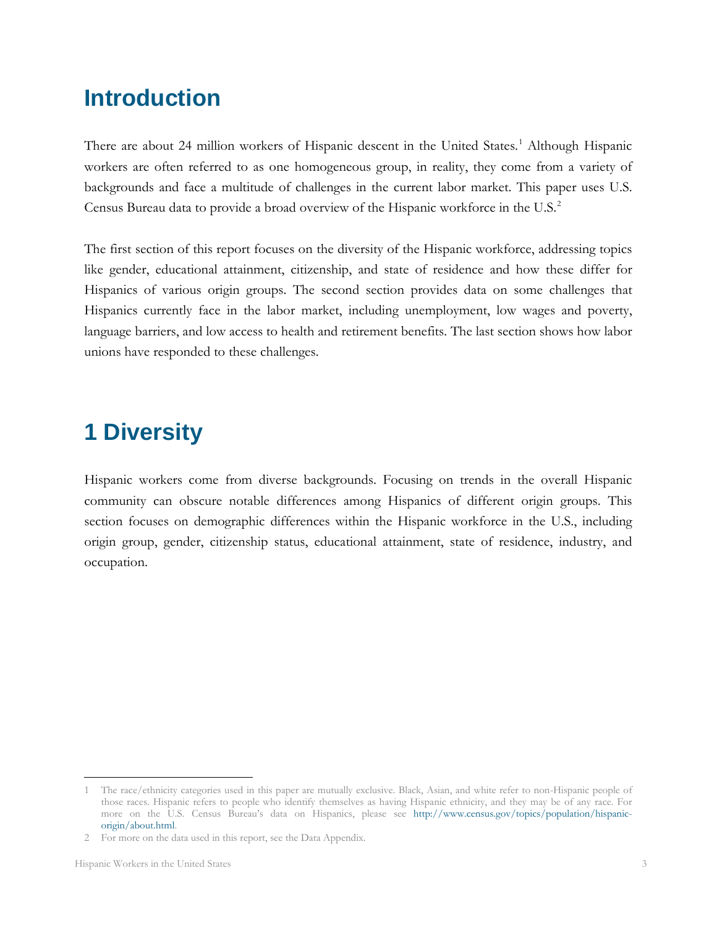# <span id="page-4-0"></span>**Introduction**

There are about 24 million workers of Hispanic descent in the United States.<sup>[1](#page-4-2)</sup> Although Hispanic workers are often referred to as one homogeneous group, in reality, they come from a variety of backgrounds and face a multitude of challenges in the current labor market. This paper uses U.S. Census Bureau data to provide a broad overview of the Hispanic workforce in the U.S.<sup>[2](#page-4-3)</sup>

The first section of this report focuses on the diversity of the Hispanic workforce, addressing topics like gender, educational attainment, citizenship, and state of residence and how these differ for Hispanics of various origin groups. The second section provides data on some challenges that Hispanics currently face in the labor market, including unemployment, low wages and poverty, language barriers, and low access to health and retirement benefits. The last section shows how labor unions have responded to these challenges.

# <span id="page-4-1"></span>**1 Diversity**

Hispanic workers come from diverse backgrounds. Focusing on trends in the overall Hispanic community can obscure notable differences among Hispanics of different origin groups. This section focuses on demographic differences within the Hispanic workforce in the U.S., including origin group, gender, citizenship status, educational attainment, state of residence, industry, and occupation.

<span id="page-4-2"></span><sup>1</sup> The race/ethnicity categories used in this paper are mutually exclusive. Black, Asian, and white refer to non-Hispanic people of those races. Hispanic refers to people who identify themselves as having Hispanic ethnicity, and they may be of any race. For more on the U.S. Census Bureau's data on Hispanics, please see [http://www.census.gov/topics/population/hispanic](http://www.census.gov/topics/population/hispanic-origin/about.html)[origin/about.html.](http://www.census.gov/topics/population/hispanic-origin/about.html)   $\overline{a}$ 

<span id="page-4-3"></span><sup>2</sup> For more on the data used in this report, see the Data Appendix.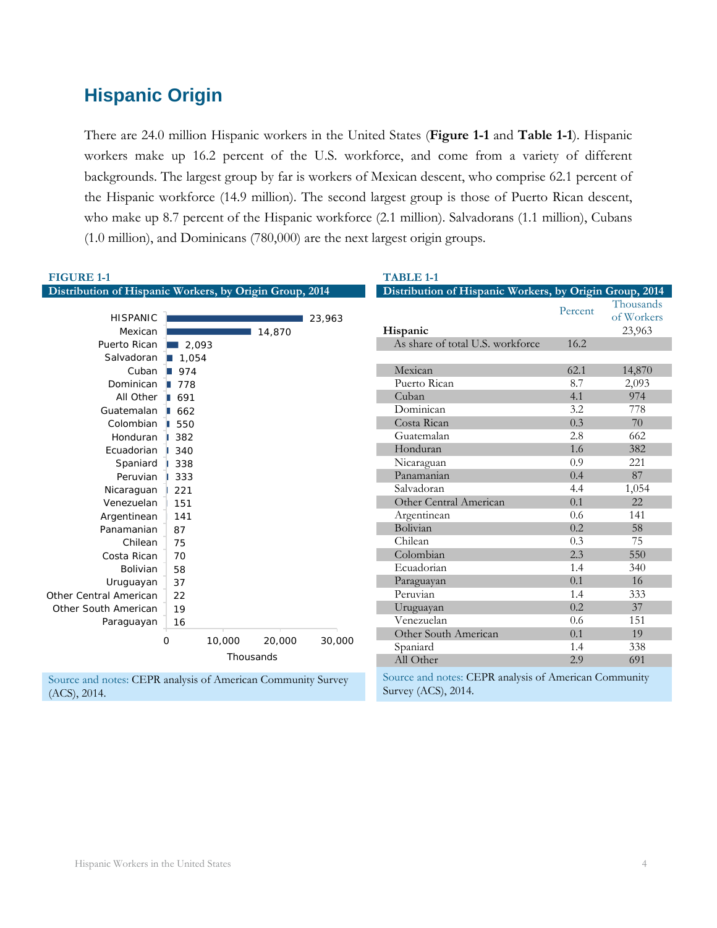# <span id="page-5-0"></span>**Hispanic Origin**

There are 24.0 million Hispanic workers in the United States (**Figure 1-1** and **Table 1-1**). Hispanic workers make up 16.2 percent of the U.S. workforce, and come from a variety of different backgrounds. The largest group by far is workers of Mexican descent, who comprise 62.1 percent of the Hispanic workforce (14.9 million). The second largest group is those of Puerto Rican descent, who make up 8.7 percent of the Hispanic workforce (2.1 million). Salvadorans (1.1 million), Cubans (1.0 million), and Dominicans (780,000) are the next largest origin groups.

| <b>FIGURE 1-1</b>                                                            |             |           |        | <b>TABLE 1-1</b>                                                             |         |                                   |
|------------------------------------------------------------------------------|-------------|-----------|--------|------------------------------------------------------------------------------|---------|-----------------------------------|
| Distribution of Hispanic Workers, by Origin Group, 2014                      |             |           |        | Distribution of Hispanic Workers, by Origin Group, 2014                      |         |                                   |
| <b>HISPANIC</b><br>Mexican                                                   |             | 14,870    | 23,963 | Hispanic                                                                     | Percent | Thousands<br>of Workers<br>23,963 |
| Puerto Rican 2,093                                                           |             |           |        | As share of total U.S. workforce                                             | 16.2    |                                   |
| Salvadoran 1,054                                                             |             |           |        |                                                                              |         |                                   |
| Cuban $\Box$ 974                                                             |             |           |        | Mexican                                                                      | 62.1    | 14,870                            |
| Dominican 1778                                                               |             |           |        | Puerto Rican                                                                 | 8.7     | 2,093                             |
| All Other   691                                                              |             |           |        | Cuban                                                                        | 4.1     | 974                               |
| Guatemalan   662                                                             |             |           |        | Dominican                                                                    | 3.2     | 778                               |
| Colombian   550                                                              |             |           |        | Costa Rican                                                                  | 0.3     | 70                                |
| Honduran                                                                     | 382         |           |        | Guatemalan                                                                   | 2.8     | 662                               |
| Ecuadorian                                                                   | 340         |           |        | Honduran                                                                     | 1.6     | 382                               |
| Spaniard                                                                     | 338         |           |        | Nicaraguan                                                                   | 0.9     | 221                               |
| Peruvian                                                                     | 333         |           |        | Panamanian                                                                   | 0.4     | 87                                |
| Nicaraguan                                                                   | 221         |           |        | Salvadoran                                                                   | 4.4     | 1,054                             |
| Venezuelan                                                                   | 151         |           |        | Other Central American                                                       | 0.1     | 22                                |
| Argentinean                                                                  | 141         |           |        | Argentinean                                                                  | 0.6     | 141                               |
| Panamanian                                                                   | 87          |           |        | Bolivian                                                                     | 0.2     | 58                                |
| Chilean                                                                      | 75          |           |        | Chilean                                                                      | 0.3     | 75                                |
| Costa Rican                                                                  | 70          |           |        | Colombian                                                                    | 2.3     | 550                               |
| Bolivian                                                                     | 58          |           |        | Ecuadorian                                                                   | 1.4     | 340                               |
| Uruguayan                                                                    | 37          |           |        | Paraguayan                                                                   | 0.1     | 16                                |
| Other Central American                                                       | 22          |           |        | Peruvian                                                                     | 1.4     | 333                               |
| Other South American                                                         | 19          |           |        | Uruguayan                                                                    | 0.2     | 37                                |
| Paraguayan                                                                   | 16          |           |        | Venezuelan                                                                   | 0.6     | 151                               |
|                                                                              | 0<br>10,000 | 20,000    | 30,000 | Other South American                                                         | 0.1     | 19                                |
|                                                                              |             |           |        | Spaniard                                                                     | 1.4     | 338                               |
|                                                                              |             | Thousands |        | All Other                                                                    | 2.9     | 691                               |
| Source and notes: CEPR analysis of American Community Survey<br>(ACS), 2014. |             |           |        | Source and notes: CEPR analysis of American Community<br>Survey (ACS), 2014. |         |                                   |

(ACS), 2014.

Hispanic Workers in the United States 4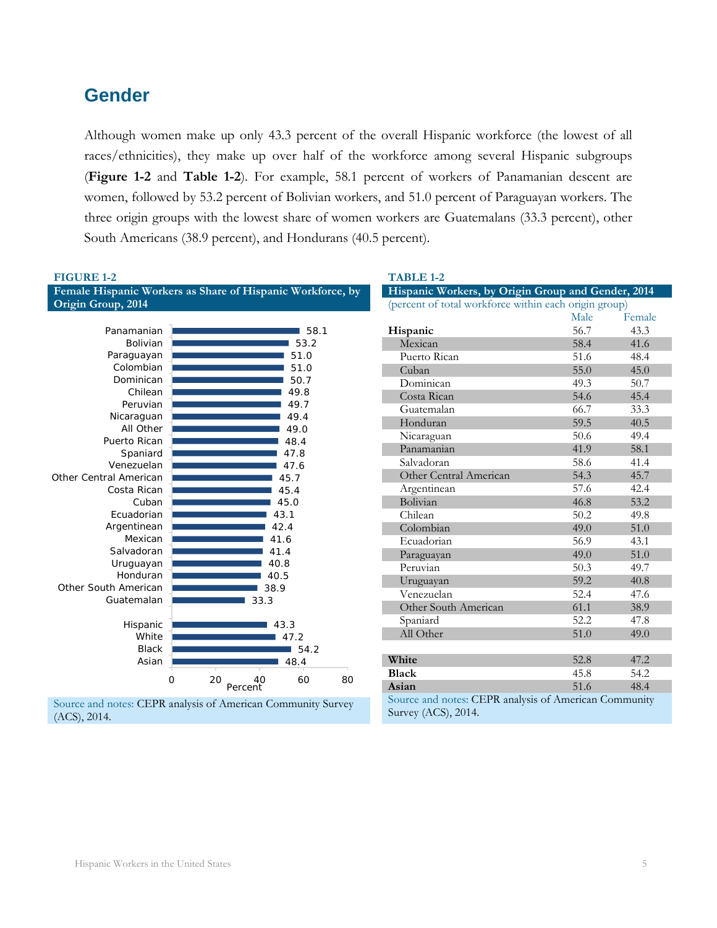# <span id="page-6-0"></span>**Gender**

Although women make up only 43.3 percent of the overall Hispanic workforce (the lowest of all races/ethnicities), they make up over half of the workforce among several Hispanic subgroups (**Figure 1-2** and **Table 1-2**). For example, 58.1 percent of workers of Panamanian descent are women, followed by 53.2 percent of Bolivian workers, and 51.0 percent of Paraguayan workers. The three origin groups with the lowest share of women workers are Guatemalans (33.3 percent), other South Americans (38.9 percent), and Hondurans (40.5 percent).

| Hispanic Workers, by Origin Group and Gender, 2014<br>Female<br>43.3 |
|----------------------------------------------------------------------|
|                                                                      |
|                                                                      |
|                                                                      |
| 41.6                                                                 |
| 48.4                                                                 |
| 45.0                                                                 |
| 50.7                                                                 |
|                                                                      |
|                                                                      |
| 33.3                                                                 |
| 40.5                                                                 |
| 49.4                                                                 |
| 58.1                                                                 |
| 41.4                                                                 |
| 45.7                                                                 |
| 42.4                                                                 |
| 53.2                                                                 |
| 49.8                                                                 |
| 51.0                                                                 |
| 43.1                                                                 |
| 51.0                                                                 |
| 49.7                                                                 |
| 40.8                                                                 |
| 47.6                                                                 |
| 38.9                                                                 |
| 47.8                                                                 |
|                                                                      |
| 49.0                                                                 |
|                                                                      |
| 47.2                                                                 |
| 54.2                                                                 |
| 48.4                                                                 |
| 45.4<br>Samuel and notes: CEDD anolysis of American Community        |

Source and notes: CEPR analysis of American Community Survey (ACS), 2014.

Source and notes: CEPR analysis of American Community Survey (ACS), 2014.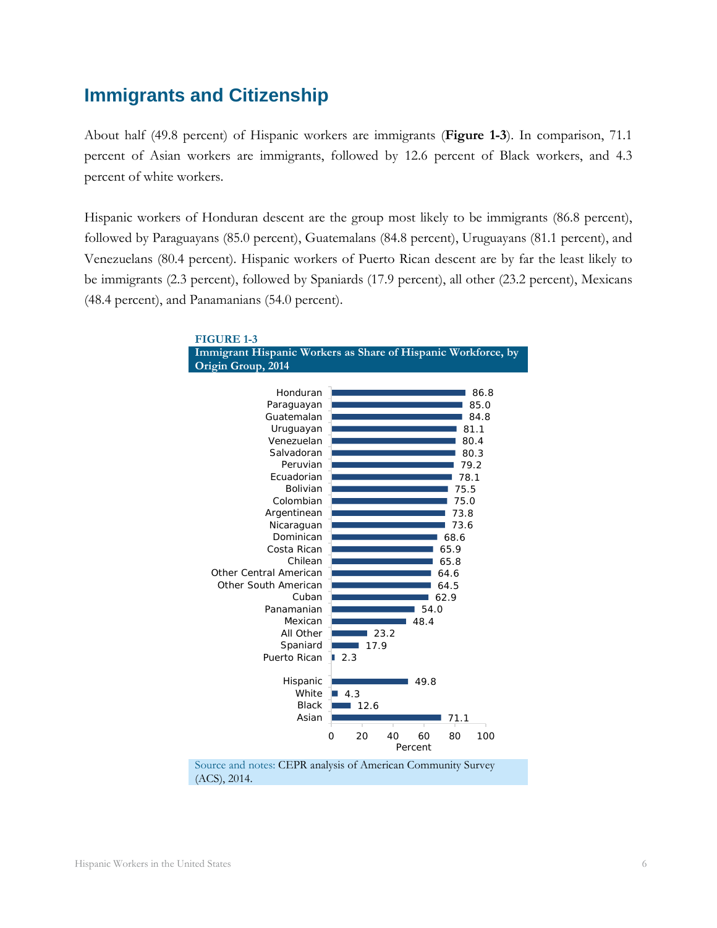# <span id="page-7-0"></span>**Immigrants and Citizenship**

About half (49.8 percent) of Hispanic workers are immigrants (**Figure 1-3**). In comparison, 71.1 percent of Asian workers are immigrants, followed by 12.6 percent of Black workers, and 4.3 percent of white workers.

Hispanic workers of Honduran descent are the group most likely to be immigrants (86.8 percent), followed by Paraguayans (85.0 percent), Guatemalans (84.8 percent), Uruguayans (81.1 percent), and Venezuelans (80.4 percent). Hispanic workers of Puerto Rican descent are by far the least likely to be immigrants (2.3 percent), followed by Spaniards (17.9 percent), all other (23.2 percent), Mexicans (48.4 percent), and Panamanians (54.0 percent).

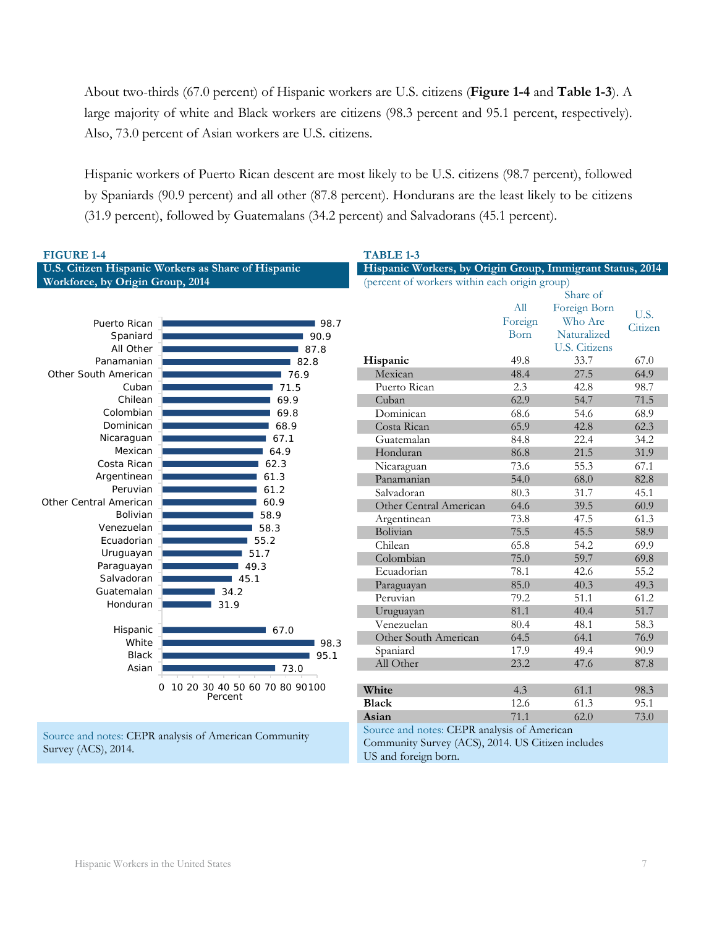About two-thirds (67.0 percent) of Hispanic workers are U.S. citizens (**Figure 1-4** and **Table 1-3**). A large majority of white and Black workers are citizens (98.3 percent and 95.1 percent, respectively). Also, 73.0 percent of Asian workers are U.S. citizens.

Hispanic workers of Puerto Rican descent are most likely to be U.S. citizens (98.7 percent), followed by Spaniards (90.9 percent) and all other (87.8 percent). Hondurans are the least likely to be citizens (31.9 percent), followed by Guatemalans (34.2 percent) and Salvadorans (45.1 percent).

| <b>FIGURE 1-4</b>                |                                                       | <b>TABLE 1-3</b>                                           |         |                      |         |
|----------------------------------|-------------------------------------------------------|------------------------------------------------------------|---------|----------------------|---------|
|                                  | U.S. Citizen Hispanic Workers as Share of Hispanic    | Hispanic Workers, by Origin Group, Immigrant Status, 2014  |         |                      |         |
| Workforce, by Origin Group, 2014 |                                                       | (percent of workers within each origin group)              |         |                      |         |
|                                  |                                                       |                                                            |         | Share of             |         |
|                                  |                                                       |                                                            | All     | Foreign Born         |         |
| Puerto Rican                     | 198.7                                                 |                                                            | Foreign | Who Are              | U.S.    |
| Spaniard                         | 90.9                                                  |                                                            | Born    | Naturalized          | Citizen |
| All Other                        | 87.8                                                  |                                                            |         | <b>U.S. Citizens</b> |         |
| Panamanian                       | 82.8                                                  | Hispanic                                                   | 49.8    | 33.7                 | 67.0    |
| Other South American             | 76.9                                                  | Mexican                                                    | 48.4    | 27.5                 | 64.9    |
| Cuban                            | 71.5                                                  | Puerto Rican                                               | 2.3     | 42.8                 | 98.7    |
| Chilean                          | 69.9                                                  | Cuban                                                      | 62.9    | 54.7                 | 71.5    |
| Colombian                        | 69.8                                                  | Dominican                                                  | 68.6    | 54.6                 | 68.9    |
| Dominican                        | 68.9                                                  | Costa Rican                                                | 65.9    | 42.8                 | 62.3    |
| Nicaraguan                       | 67.1                                                  | Guatemalan                                                 | 84.8    | 22.4                 | 34.2    |
| Mexican                          | 64.9                                                  | Honduran                                                   | 86.8    | 21.5                 | 31.9    |
| Costa Rican                      | 62.3                                                  | Nicaraguan                                                 | 73.6    | 55.3                 | 67.1    |
| Argentinean                      | 61.3                                                  | Panamanian                                                 | 54.0    | 68.0                 | 82.8    |
| Peruvian                         | 61.2                                                  | Salvadoran                                                 | 80.3    | 31.7                 | 45.1    |
| Other Central American           | 60.9                                                  | Other Central American                                     | 64.6    | 39.5                 | 60.9    |
| <b>Bolivian</b>                  | 58.9                                                  | Argentinean                                                | 73.8    | 47.5                 | 61.3    |
| Venezuelan                       | 58.3                                                  | Bolivian                                                   | 75.5    | 45.5                 | 58.9    |
| Ecuadorian                       | 55.2                                                  | Chilean                                                    | 65.8    | 54.2                 | 69.9    |
| Uruguayan                        | 51.7                                                  | Colombian                                                  | 75.0    | 59.7                 | 69.8    |
| Paraguayan                       | 49.3                                                  | Ecuadorian                                                 | 78.1    | 42.6                 | 55.2    |
| Salvadoran<br>Guatemalan         | 45.1                                                  | Paraguayan                                                 | 85.0    | 40.3                 | 49.3    |
|                                  | 34.2                                                  | Peruvian                                                   | 79.2    | 51.1                 | 61.2    |
| Honduran                         | 31.9                                                  | Uruguayan                                                  | 81.1    | 40.4                 | 51.7    |
| Hispanic                         | $\blacksquare$ 67.0                                   | Venezuelan                                                 | 80.4    | 48.1                 | 58.3    |
| White                            | 98.3                                                  | Other South American                                       | 64.5    | 64.1                 | 76.9    |
| <b>Black</b>                     | 95.1                                                  | Spaniard                                                   | 17.9    | 49.4                 | 90.9    |
| Asian                            | 73.0                                                  | All Other                                                  | 23.2    | 47.6                 | 87.8    |
|                                  |                                                       |                                                            |         |                      |         |
|                                  | 0 10 20 30 40 50 60 70 80 90 100                      | White                                                      | 4.3     | 61.1                 | 98.3    |
|                                  | Percent                                               | <b>Black</b>                                               | 12.6    | 61.3                 | 95.1    |
|                                  |                                                       | Asian                                                      | 71.1    | 62.0                 | 73.0    |
|                                  | Source and notes: CEPR analysis of American Community | Source and notes: CEPR analysis of American                |         |                      |         |
|                                  |                                                       | $C = \frac{1}{2} C = \frac{(1000)(0.0014)}{(1000)(0.014)}$ |         |                      |         |

Survey (ACS), 2014.

Community Survey (ACS), 2014. US Citizen includes US and foreign born.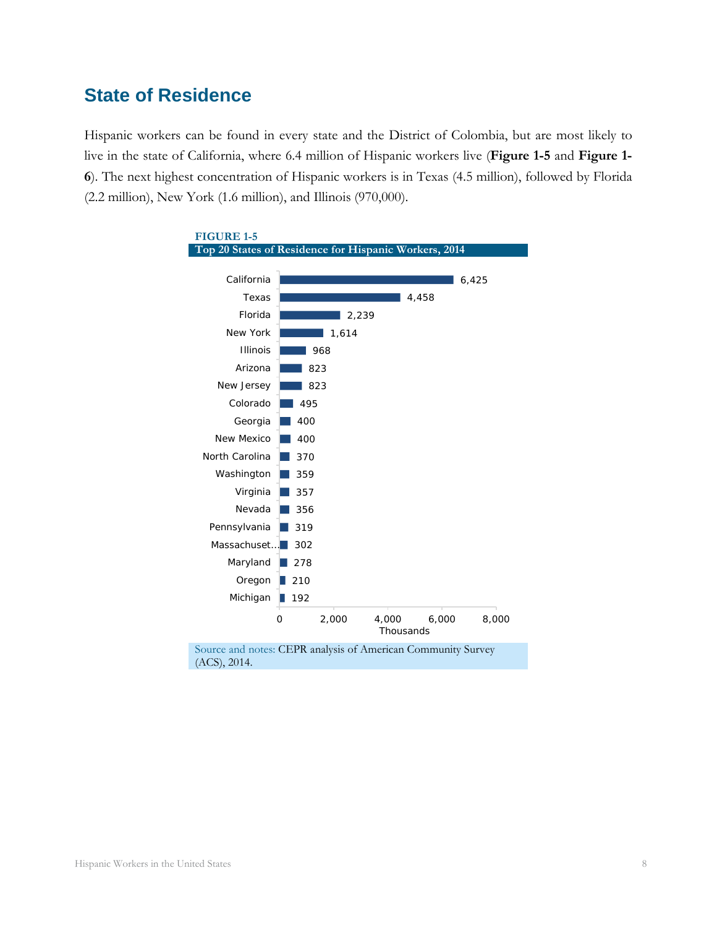# <span id="page-9-0"></span>**State of Residence**

Hispanic workers can be found in every state and the District of Colombia, but are most likely to live in the state of California, where 6.4 million of Hispanic workers live (**Figure 1-5** and **Figure 1- 6**). The next highest concentration of Hispanic workers is in Texas (4.5 million), followed by Florida (2.2 million), New York (1.6 million), and Illinois (970,000).

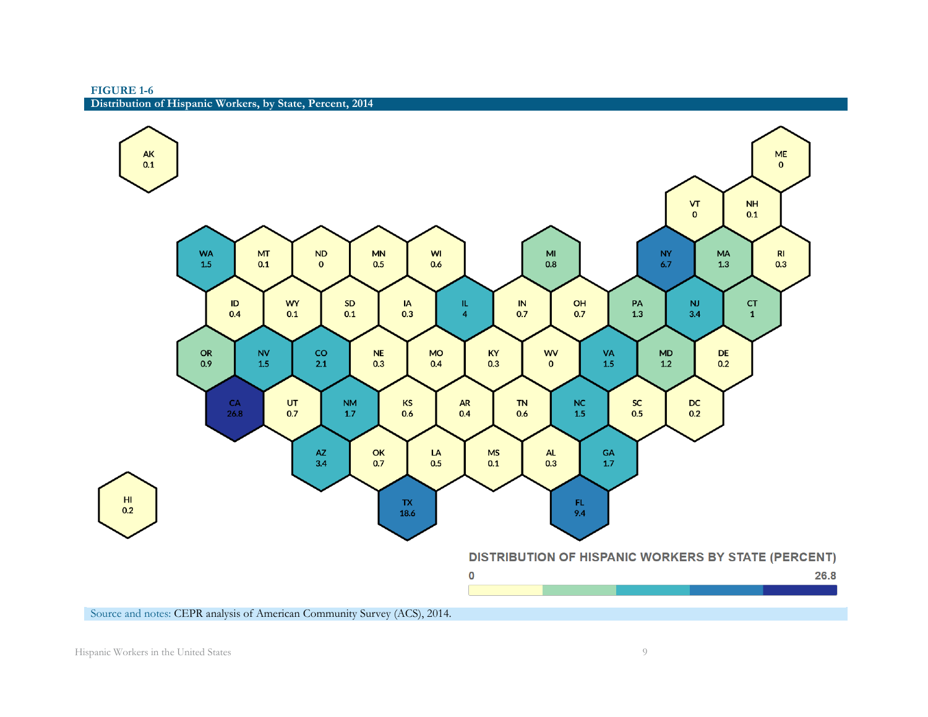**FIGURE 1-6 Distribution of Hispanic Workers, by State, Percent, 2014**

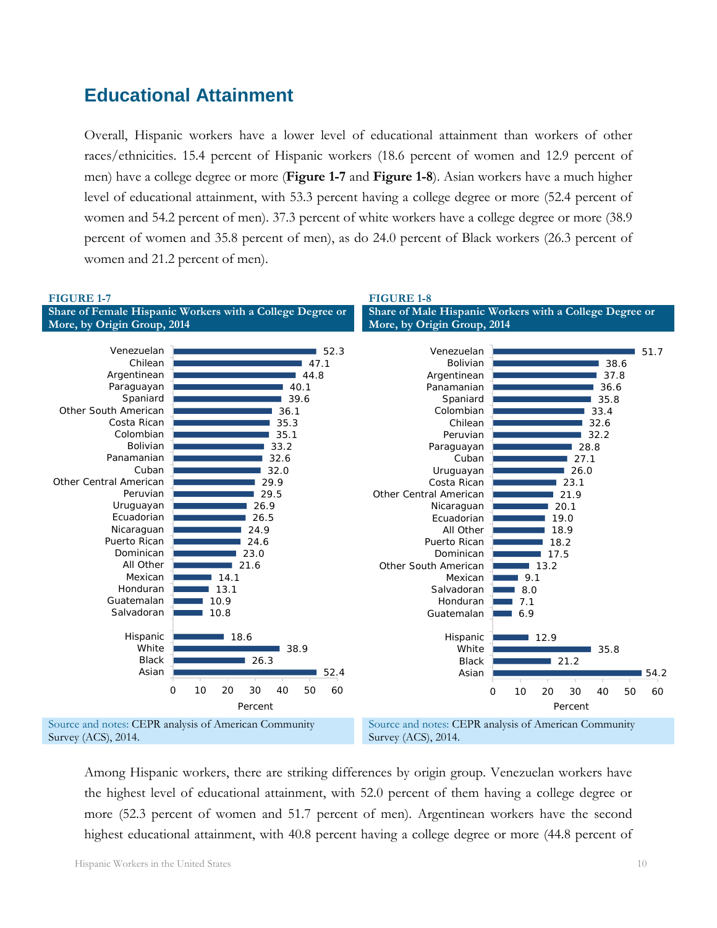# <span id="page-11-0"></span>**Educational Attainment**

Overall, Hispanic workers have a lower level of educational attainment than workers of other races/ethnicities. 15.4 percent of Hispanic workers (18.6 percent of women and 12.9 percent of men) have a college degree or more (**Figure 1-7** and **Figure 1-8**). Asian workers have a much higher level of educational attainment, with 53.3 percent having a college degree or more (52.4 percent of women and 54.2 percent of men). 37.3 percent of white workers have a college degree or more (38.9 percent of women and 35.8 percent of men), as do 24.0 percent of Black workers (26.3 percent of women and 21.2 percent of men).



Among Hispanic workers, there are striking differences by origin group. Venezuelan workers have the highest level of educational attainment, with 52.0 percent of them having a college degree or more (52.3 percent of women and 51.7 percent of men). Argentinean workers have the second highest educational attainment, with 40.8 percent having a college degree or more (44.8 percent of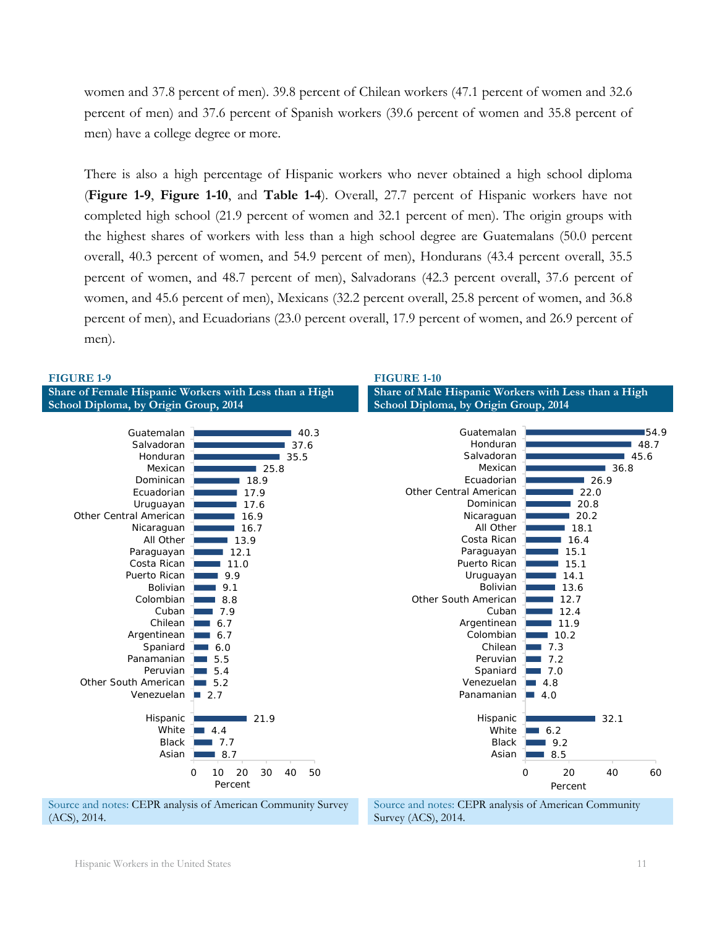women and 37.8 percent of men). 39.8 percent of Chilean workers (47.1 percent of women and 32.6 percent of men) and 37.6 percent of Spanish workers (39.6 percent of women and 35.8 percent of men) have a college degree or more.

There is also a high percentage of Hispanic workers who never obtained a high school diploma (**Figure 1-9**, **Figure 1-10**, and **Table 1-4**). Overall, 27.7 percent of Hispanic workers have not completed high school (21.9 percent of women and 32.1 percent of men). The origin groups with the highest shares of workers with less than a high school degree are Guatemalans (50.0 percent overall, 40.3 percent of women, and 54.9 percent of men), Hondurans (43.4 percent overall, 35.5 percent of women, and 48.7 percent of men), Salvadorans (42.3 percent overall, 37.6 percent of women, and 45.6 percent of men), Mexicans (32.2 percent overall, 25.8 percent of women, and 36.8 percent of men), and Ecuadorians (23.0 percent overall, 17.9 percent of women, and 26.9 percent of men).



Source and notes: CEPR analysis of American Community Survey (ACS), 2014.

Source and notes: CEPR analysis of American Community Survey (ACS), 2014.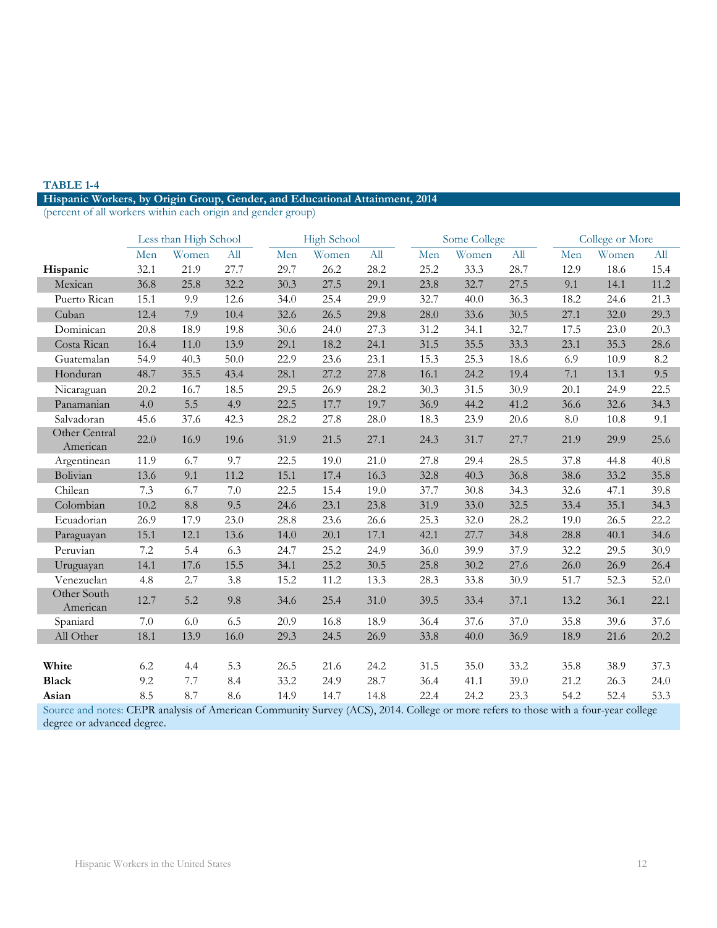#### **TABLE 1-4**

#### **Hispanic Workers, by Origin Group, Gender, and Educational Attainment, 2014**

(percent of all workers within each origin and gender group)

|                           |         | Less than High School |         |      | <b>High School</b> |      |      | Some College |      |      | College or More |      |
|---------------------------|---------|-----------------------|---------|------|--------------------|------|------|--------------|------|------|-----------------|------|
|                           | Men     | Women                 | All     | Men  | Women              | All  | Men  | Women        | All  | Men  | Women           | All  |
| Hispanic                  | 32.1    | 21.9                  | 27.7    | 29.7 | 26.2               | 28.2 | 25.2 | 33.3         | 28.7 | 12.9 | 18.6            | 15.4 |
| Mexican                   | 36.8    | 25.8                  | 32.2    | 30.3 | 27.5               | 29.1 | 23.8 | 32.7         | 27.5 | 9.1  | 14.1            | 11.2 |
| Puerto Rican              | 15.1    | 9.9                   | 12.6    | 34.0 | 25.4               | 29.9 | 32.7 | 40.0         | 36.3 | 18.2 | 24.6            | 21.3 |
| Cuban                     | 12.4    | 7.9                   | 10.4    | 32.6 | 26.5               | 29.8 | 28.0 | 33.6         | 30.5 | 27.1 | 32.0            | 29.3 |
| Dominican                 | 20.8    | 18.9                  | 19.8    | 30.6 | 24.0               | 27.3 | 31.2 | 34.1         | 32.7 | 17.5 | 23.0            | 20.3 |
| Costa Rican               | 16.4    | 11.0                  | 13.9    | 29.1 | 18.2               | 24.1 | 31.5 | 35.5         | 33.3 | 23.1 | 35.3            | 28.6 |
| Guatemalan                | 54.9    | 40.3                  | 50.0    | 22.9 | 23.6               | 23.1 | 15.3 | 25.3         | 18.6 | 6.9  | 10.9            | 8.2  |
| Honduran                  | 48.7    | 35.5                  | 43.4    | 28.1 | 27.2               | 27.8 | 16.1 | 24.2         | 19.4 | 7.1  | 13.1            | 9.5  |
| Nicaraguan                | 20.2    | 16.7                  | 18.5    | 29.5 | 26.9               | 28.2 | 30.3 | 31.5         | 30.9 | 20.1 | 24.9            | 22.5 |
| Panamanian                | 4.0     | 5.5                   | 4.9     | 22.5 | 17.7               | 19.7 | 36.9 | 44.2         | 41.2 | 36.6 | 32.6            | 34.3 |
| Salvadoran                | 45.6    | 37.6                  | 42.3    | 28.2 | 27.8               | 28.0 | 18.3 | 23.9         | 20.6 | 8.0  | 10.8            | 9.1  |
| Other Central<br>American | 22.0    | 16.9                  | 19.6    | 31.9 | 21.5               | 27.1 | 24.3 | 31.7         | 27.7 | 21.9 | 29.9            | 25.6 |
| Argentinean               | 11.9    | 6.7                   | 9.7     | 22.5 | 19.0               | 21.0 | 27.8 | 29.4         | 28.5 | 37.8 | 44.8            | 40.8 |
| Bolivian                  | 13.6    | 9.1                   | 11.2    | 15.1 | 17.4               | 16.3 | 32.8 | 40.3         | 36.8 | 38.6 | 33.2            | 35.8 |
| Chilean                   | 7.3     | 6.7                   | $7.0\,$ | 22.5 | 15.4               | 19.0 | 37.7 | 30.8         | 34.3 | 32.6 | 47.1            | 39.8 |
| Colombian                 | 10.2    | 8.8                   | 9.5     | 24.6 | 23.1               | 23.8 | 31.9 | 33.0         | 32.5 | 33.4 | 35.1            | 34.3 |
| Ecuadorian                | 26.9    | 17.9                  | 23.0    | 28.8 | 23.6               | 26.6 | 25.3 | 32.0         | 28.2 | 19.0 | 26.5            | 22.2 |
| Paraguayan                | 15.1    | 12.1                  | 13.6    | 14.0 | 20.1               | 17.1 | 42.1 | 27.7         | 34.8 | 28.8 | 40.1            | 34.6 |
| Peruvian                  | 7.2     | 5.4                   | 6.3     | 24.7 | 25.2               | 24.9 | 36.0 | 39.9         | 37.9 | 32.2 | 29.5            | 30.9 |
| Uruguayan                 | 14.1    | 17.6                  | 15.5    | 34.1 | 25.2               | 30.5 | 25.8 | 30.2         | 27.6 | 26.0 | 26.9            | 26.4 |
| Venezuelan                | 4.8     | 2.7                   | 3.8     | 15.2 | 11.2               | 13.3 | 28.3 | 33.8         | 30.9 | 51.7 | 52.3            | 52.0 |
| Other South<br>American   | 12.7    | 5.2                   | 9.8     | 34.6 | 25.4               | 31.0 | 39.5 | 33.4         | 37.1 | 13.2 | 36.1            | 22.1 |
| Spaniard                  | $7.0\,$ | 6.0                   | 6.5     | 20.9 | 16.8               | 18.9 | 36.4 | 37.6         | 37.0 | 35.8 | 39.6            | 37.6 |
| All Other                 | 18.1    | 13.9                  | 16.0    | 29.3 | 24.5               | 26.9 | 33.8 | 40.0         | 36.9 | 18.9 | 21.6            | 20.2 |
|                           |         |                       |         |      |                    |      |      |              |      |      |                 |      |
| White                     | 6.2     | 4.4                   | 5.3     | 26.5 | 21.6               | 24.2 | 31.5 | 35.0         | 33.2 | 35.8 | 38.9            | 37.3 |
| <b>Black</b>              | 9.2     | 7.7                   | 8.4     | 33.2 | 24.9               | 28.7 | 36.4 | 41.1         | 39.0 | 21.2 | 26.3            | 24.0 |
| Asian                     | 8.5     | 8.7                   | 8.6     | 14.9 | 14.7               | 14.8 | 22.4 | 24.2         | 23.3 | 54.2 | 52.4            | 53.3 |

Source and notes: CEPR analysis of American Community Survey (ACS), 2014. College or more refers to those with a four-year college degree or advanced degree.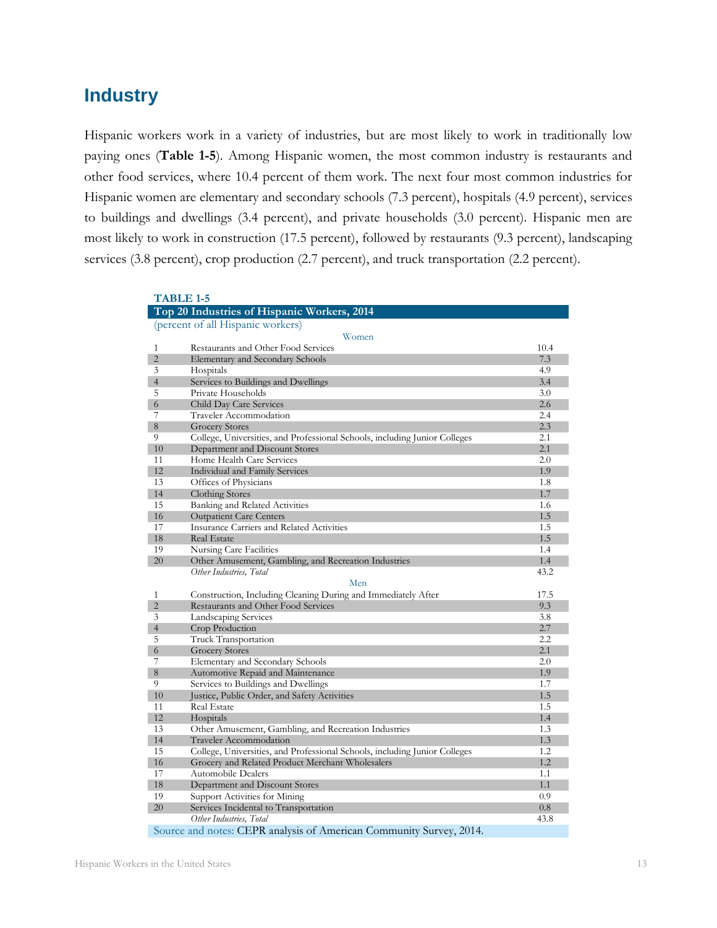# <span id="page-14-0"></span>**Industry**

Hispanic workers work in a variety of industries, but are most likely to work in traditionally low paying ones (**Table 1-5**). Among Hispanic women, the most common industry is restaurants and other food services, where 10.4 percent of them work. The next four most common industries for Hispanic women are elementary and secondary schools (7.3 percent), hospitals (4.9 percent), services to buildings and dwellings (3.4 percent), and private households (3.0 percent). Hispanic men are most likely to work in construction (17.5 percent), followed by restaurants (9.3 percent), landscaping services (3.8 percent), crop production (2.7 percent), and truck transportation (2.2 percent).

|                | <b>TABLE 1-5</b>                                                           |            |
|----------------|----------------------------------------------------------------------------|------------|
|                | Top 20 Industries of Hispanic Workers, 2014                                |            |
|                | (percent of all Hispanic workers)                                          |            |
|                | Women                                                                      |            |
| $\mathbf{1}$   | Restaurants and Other Food Services                                        | 10.4       |
| $\overline{2}$ | Elementary and Secondary Schools                                           | 7.3        |
| 3              | Hospitals                                                                  | 4.9        |
| $\overline{4}$ | Services to Buildings and Dwellings                                        | 3.4        |
| 5              | Private Households                                                         | 3.0        |
| 6              | Child Day Care Services                                                    | 2.6        |
| 7              | Traveler Accommodation                                                     | 2.4        |
| 8              | <b>Grocery Stores</b>                                                      | 2.3        |
| 9              | College, Universities, and Professional Schools, including Junior Colleges | 2.1        |
| 10             | Department and Discount Stores                                             | 2.1        |
| 11             | Home Health Care Services                                                  | 2.0        |
| 12             | <b>Individual and Family Services</b>                                      | 1.9        |
| 13             | Offices of Physicians                                                      | 1.8        |
| 14             | Clothing Stores                                                            | 1.7        |
| 15             | Banking and Related Activities                                             | 1.6        |
| 16             | <b>Outpatient Care Centers</b>                                             | 1.5        |
| 17             | Insurance Carriers and Related Activities                                  | 1.5        |
| 18             | <b>Real Estate</b>                                                         | 1.5        |
| 19             | Nursing Care Facilities                                                    | 1.4        |
| 20             | Other Amusement, Gambling, and Recreation Industries                       | 1.4        |
|                | Other Industries, Total                                                    | 43.2       |
|                | Men                                                                        |            |
| 1              | Construction, Including Cleaning During and Immediately After              | 17.5       |
| $\overline{2}$ | Restaurants and Other Food Services                                        | 9.3        |
| 3              | Landscaping Services                                                       | 3.8        |
| $\overline{4}$ | Crop Production                                                            | 2.7        |
| 5              | Truck Transportation                                                       | 2.2        |
| 6              | <b>Grocery Stores</b>                                                      | 2.1        |
| 7              | Elementary and Secondary Schools                                           | 2.0        |
| 8              | Automotive Repaid and Maintenance                                          | 1.9        |
| 9              | Services to Buildings and Dwellings                                        | 1.7        |
| 10<br>11       | Justice, Public Order, and Safety Activities<br>Real Estate                | 1.5        |
| 12             |                                                                            | 1.5        |
| 13             | Hospitals<br>Other Amusement, Gambling, and Recreation Industries          | 1.4<br>1.3 |
| 14             | Traveler Accommodation                                                     | 1.3        |
| 15             | College, Universities, and Professional Schools, including Junior Colleges | 1.2        |
| 16             | Grocery and Related Product Merchant Wholesalers                           | 1.2        |
| 17             | <b>Automobile Dealers</b>                                                  | 1.1        |
| 18             | Department and Discount Stores                                             | 1.1        |
| 19             | Support Activities for Mining                                              | 0.9        |
| 20             | Services Incidental to Transportation                                      | 0.8        |
|                | Other Industries, Total                                                    | 43.8       |
|                | Source and notes: CEPR analysis of American Community Survey, 2014.        |            |
|                |                                                                            |            |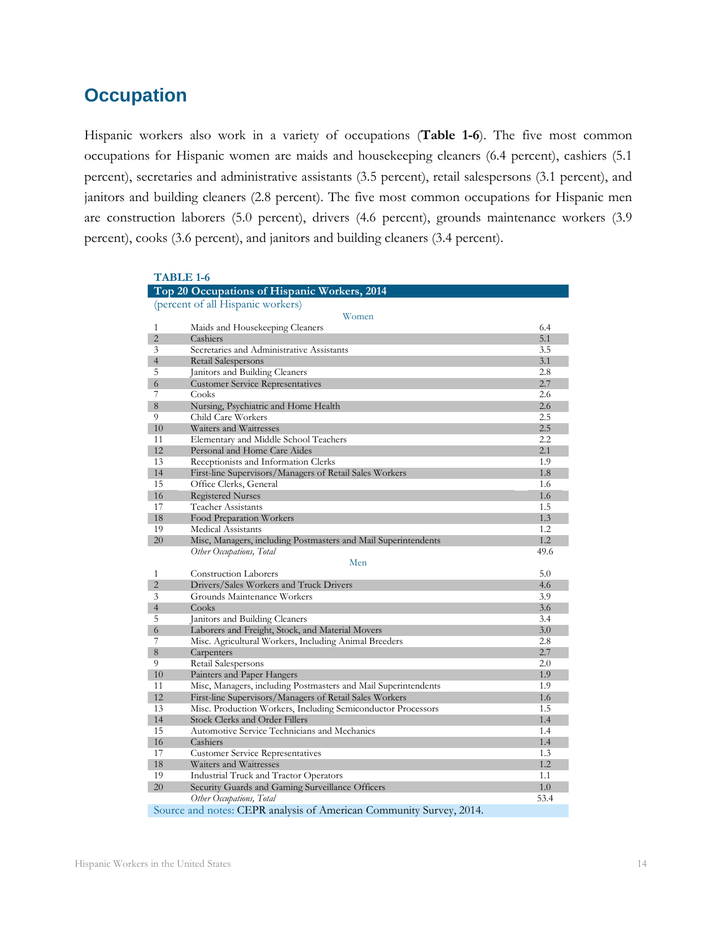# <span id="page-15-0"></span>**Occupation**

Hispanic workers also work in a variety of occupations (**Table 1-6**). The five most common occupations for Hispanic women are maids and housekeeping cleaners (6.4 percent), cashiers (5.1 percent), secretaries and administrative assistants (3.5 percent), retail salespersons (3.1 percent), and janitors and building cleaners (2.8 percent). The five most common occupations for Hispanic men are construction laborers (5.0 percent), drivers (4.6 percent), grounds maintenance workers (3.9 percent), cooks (3.6 percent), and janitors and building cleaners (3.4 percent).

|                     | <b>TABLE 1-6</b>                                                    |            |
|---------------------|---------------------------------------------------------------------|------------|
|                     | Top 20 Occupations of Hispanic Workers, 2014                        |            |
|                     | (percent of all Hispanic workers)<br>Women                          |            |
| 1                   | Maids and Housekeeping Cleaners                                     | 6.4        |
| $\overline{2}$      | Cashiers                                                            | 5.1        |
| 3                   | Secretaries and Administrative Assistants                           | 3.5        |
| $\overline{4}$      | Retail Salespersons                                                 | 3.1        |
| 5                   | Janitors and Building Cleaners                                      | 2.8        |
| 6                   | <b>Customer Service Representatives</b>                             | 2.7        |
| 7                   | Cooks                                                               | 2.6        |
| 8                   | Nursing, Psychiatric and Home Health                                | 2.6        |
| 9                   | Child Care Workers                                                  | 2.5        |
| 10                  | Waiters and Waitresses                                              | 2.5        |
| 11                  | Elementary and Middle School Teachers                               | 2.2        |
| 12                  | Personal and Home Care Aides                                        | 2.1        |
| 13                  | Receptionists and Information Clerks                                | 1.9        |
| 14                  | First-line Supervisors/Managers of Retail Sales Workers             | 1.8        |
| 15                  | Office Clerks, General                                              | 1.6        |
| 16                  | <b>Registered Nurses</b>                                            | 1.6        |
| 17                  | Teacher Assistants                                                  | 1.5        |
| 18                  | Food Preparation Workers                                            | 1.3        |
| 19                  | Medical Assistants                                                  | 1.2        |
| 20                  | Misc, Managers, including Postmasters and Mail Superintendents      | 1.2        |
|                     | Other Occupations, Total                                            | 49.6       |
|                     | Men                                                                 |            |
| 1                   | <b>Construction Laborers</b>                                        | 5.0        |
| $\overline{2}$      | Drivers/Sales Workers and Truck Drivers                             | 4.6        |
| 3                   | Grounds Maintenance Workers                                         | 3.9        |
| $\overline{4}$<br>5 | Cooks                                                               | 3.6        |
|                     | Janitors and Building Cleaners                                      | 3.4        |
| 6<br>7              | Laborers and Freight, Stock, and Material Movers                    | 3.0        |
| 8                   | Misc. Agricultural Workers, Including Animal Breeders<br>Carpenters | 2.8<br>2.7 |
| 9                   | Retail Salespersons                                                 | 2.0        |
| 10                  | Painters and Paper Hangers                                          | 1.9        |
| 11                  | Misc, Managers, including Postmasters and Mail Superintendents      | 1.9        |
| 12                  | First-line Supervisors/Managers of Retail Sales Workers             | 1.6        |
| 13                  | Misc. Production Workers, Including Semiconductor Processors        | 1.5        |
| 14                  | <b>Stock Clerks and Order Fillers</b>                               | 1.4        |
| 15                  | Automotive Service Technicians and Mechanics                        | 1.4        |
| 16                  | Cashiers                                                            | 1.4        |
| 17                  | <b>Customer Service Representatives</b>                             | 1.3        |
| 18                  | Waiters and Waitresses                                              | 1.2        |
| 19                  | Industrial Truck and Tractor Operators                              | 1.1        |
| 20                  | Security Guards and Gaming Surveillance Officers                    | 1.0        |
|                     | Other Occupations, Total                                            | 53.4       |
|                     | Source and notes: CEPR analysis of American Community Survey, 2014. |            |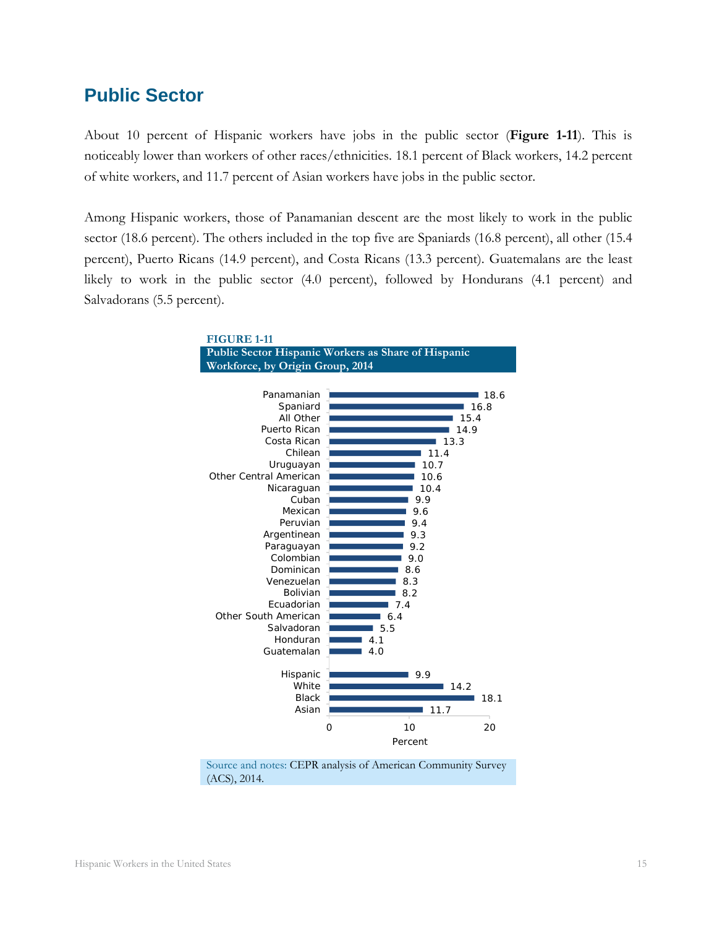### <span id="page-16-0"></span>**Public Sector**

About 10 percent of Hispanic workers have jobs in the public sector (**Figure 1-11**). This is noticeably lower than workers of other races/ethnicities. 18.1 percent of Black workers, 14.2 percent of white workers, and 11.7 percent of Asian workers have jobs in the public sector.

Among Hispanic workers, those of Panamanian descent are the most likely to work in the public sector (18.6 percent). The others included in the top five are Spaniards (16.8 percent), all other (15.4 percent), Puerto Ricans (14.9 percent), and Costa Ricans (13.3 percent). Guatemalans are the least likely to work in the public sector (4.0 percent), followed by Hondurans (4.1 percent) and Salvadorans (5.5 percent).



Source and notes: CEPR analysis of American Community Survey (ACS), 2014.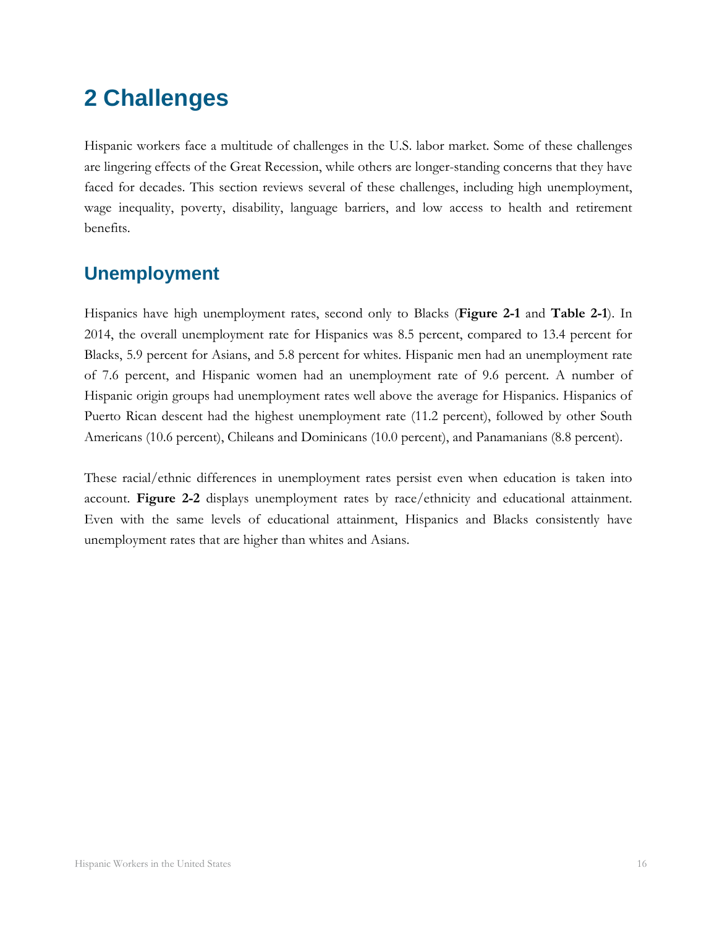# <span id="page-17-0"></span>**2 Challenges**

Hispanic workers face a multitude of challenges in the U.S. labor market. Some of these challenges are lingering effects of the Great Recession, while others are longer-standing concerns that they have faced for decades. This section reviews several of these challenges, including high unemployment, wage inequality, poverty, disability, language barriers, and low access to health and retirement benefits.

# <span id="page-17-1"></span>**Unemployment**

Hispanics have high unemployment rates, second only to Blacks (**Figure 2-1** and **Table 2-1**). In 2014, the overall unemployment rate for Hispanics was 8.5 percent, compared to 13.4 percent for Blacks, 5.9 percent for Asians, and 5.8 percent for whites. Hispanic men had an unemployment rate of 7.6 percent, and Hispanic women had an unemployment rate of 9.6 percent. A number of Hispanic origin groups had unemployment rates well above the average for Hispanics. Hispanics of Puerto Rican descent had the highest unemployment rate (11.2 percent), followed by other South Americans (10.6 percent), Chileans and Dominicans (10.0 percent), and Panamanians (8.8 percent).

These racial/ethnic differences in unemployment rates persist even when education is taken into account. **Figure 2-2** displays unemployment rates by race/ethnicity and educational attainment. Even with the same levels of educational attainment, Hispanics and Blacks consistently have unemployment rates that are higher than whites and Asians.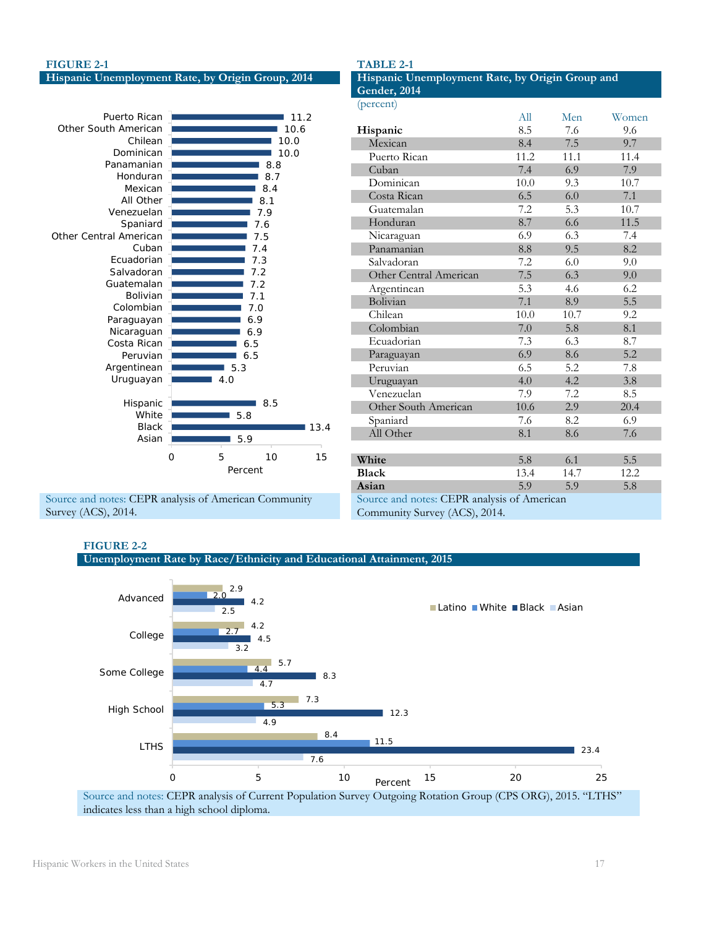#### **FIGURE 2-1**

| Hispanic Unemployment Rate, by Origin Group, 2014 |  |  |  |  |  |  |
|---------------------------------------------------|--|--|--|--|--|--|
|---------------------------------------------------|--|--|--|--|--|--|



Source and notes: CEPR analysis of American Community Survey (ACS), 2014.

| Hispanic Unemployment Rate, by Origin Group and |      |      |       |  |  |
|-------------------------------------------------|------|------|-------|--|--|
| Gender, 2014                                    |      |      |       |  |  |
| (percent)                                       |      |      |       |  |  |
|                                                 | All  | Men  | Women |  |  |
| Hispanic                                        | 8.5  | 7.6  | 9.6   |  |  |
| Mexican                                         | 8.4  | 7.5  | 9.7   |  |  |
| Puerto Rican                                    | 11.2 | 11.1 | 11.4  |  |  |
| Cuban                                           | 7.4  | 6.9  | 7.9   |  |  |
| Dominican                                       | 10.0 | 9.3  | 10.7  |  |  |
| Costa Rican                                     | 6.5  | 6.0  | 7.1   |  |  |
| Guatemalan                                      | 7.2  | 5.3  | 10.7  |  |  |
| Honduran                                        | 8.7  | 6.6  | 11.5  |  |  |
| Nicaraguan                                      | 6.9  | 6.3  | 7.4   |  |  |
| Panamanian                                      | 8.8  | 9.5  | 8.2   |  |  |
| Salvadoran                                      | 7.2  | 6.0  | 9.0   |  |  |
| Other Central American                          | 7.5  | 6.3  | 9.0   |  |  |
| Argentinean                                     | 5.3  | 4.6  | 6.2   |  |  |
| Bolivian                                        | 7.1  | 8.9  | 5.5   |  |  |
| Chilean                                         | 10.0 | 10.7 | 9.2   |  |  |
| Colombian                                       | 7.0  | 5.8  | 8.1   |  |  |
| Ecuadorian                                      | 7.3  | 6.3  | 8.7   |  |  |
| Paraguayan                                      | 6.9  | 8.6  | 5.2   |  |  |
| Peruvian                                        | 6.5  | 5.2  | 7.8   |  |  |
| Uruguayan                                       | 4.0  | 4.2  | 3.8   |  |  |
| Venezuelan                                      | 7.9  | 7.2  | 8.5   |  |  |
| Other South American                            | 10.6 | 2.9  | 20.4  |  |  |
| Spaniard                                        | 7.6  | 8.2  | 6.9   |  |  |
| All Other                                       | 8.1  | 8.6  | 7.6   |  |  |
|                                                 |      |      |       |  |  |
| White                                           | 5.8  | 6.1  | 5.5   |  |  |
| <b>Black</b>                                    | 13.4 | 14.7 | 12.2  |  |  |
| Asian                                           | 5.9  | 5.9  | 5.8   |  |  |
| Source and notes: CEPR analysis of American     |      |      |       |  |  |
| Community Survey (ACS), 2014.                   |      |      |       |  |  |

#### **FIGURE 2-2**





#### **TABLE 2-1**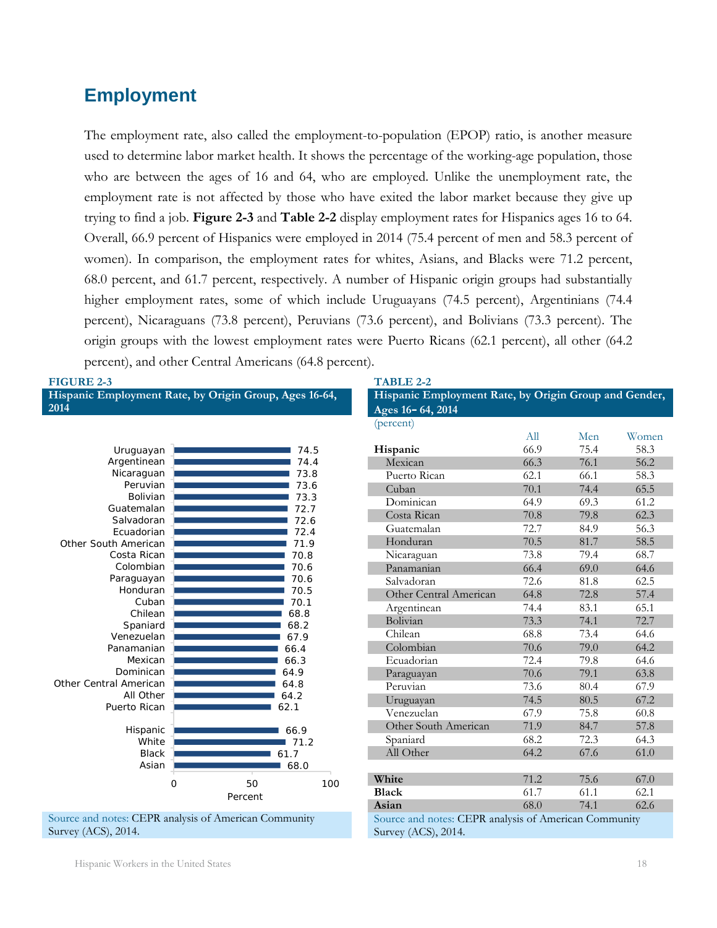# <span id="page-19-0"></span>**Employment**

The employment rate, also called the employment-to-population (EPOP) ratio, is another measure used to determine labor market health. It shows the percentage of the working-age population, those who are between the ages of 16 and 64, who are employed. Unlike the unemployment rate, the employment rate is not affected by those who have exited the labor market because they give up trying to find a job. **Figure 2-3** and **Table 2-2** display employment rates for Hispanics ages 16 to 64. Overall, 66.9 percent of Hispanics were employed in 2014 (75.4 percent of men and 58.3 percent of women). In comparison, the employment rates for whites, Asians, and Blacks were 71.2 percent, 68.0 percent, and 61.7 percent, respectively. A number of Hispanic origin groups had substantially higher employment rates, some of which include Uruguayans (74.5 percent), Argentinians (74.4 percent), Nicaraguans (73.8 percent), Peruvians (73.6 percent), and Bolivians (73.3 percent). The origin groups with the lowest employment rates were Puerto Ricans (62.1 percent), all other (64.2 percent), and other Central Americans (64.8 percent).

| <b>FIGURE 2-3</b>                                      |              | <b>TABLE 2-2</b>                                      |      |      |       |
|--------------------------------------------------------|--------------|-------------------------------------------------------|------|------|-------|
| Hispanic Employment Rate, by Origin Group, Ages 16-64, |              | Hispanic Employment Rate, by Origin Group and Gender, |      |      |       |
| 2014                                                   |              | Ages 16-64, 2014                                      |      |      |       |
|                                                        |              | (percent)                                             |      |      |       |
|                                                        |              |                                                       | All  | Men  | Women |
| Uruguayan                                              | 74.5         | Hispanic                                              | 66.9 | 75.4 | 58.3  |
| Argentinean                                            | 74.4         | Mexican                                               | 66.3 | 76.1 | 56.2  |
| Nicaraguan                                             | 73.8         | Puerto Rican                                          | 62.1 | 66.1 | 58.3  |
| Peruvian                                               | 73.6         | Cuban                                                 | 70.1 | 74.4 | 65.5  |
| Bolivian                                               | 73.3         | Dominican                                             | 64.9 | 69.3 | 61.2  |
| Guatemalan                                             | 72.7         | Costa Rican                                           | 70.8 | 79.8 | 62.3  |
| Salvadoran                                             | 72.6         | Guatemalan                                            | 72.7 | 84.9 | 56.3  |
| Ecuadorian                                             | 72.4         | Honduran                                              | 70.5 | 81.7 | 58.5  |
| Other South American<br>Costa Rican                    | 71.9<br>70.8 |                                                       | 73.8 | 79.4 | 68.7  |
| Colombian                                              | 70.6         | Nicaraguan                                            |      |      |       |
| Paraguayan                                             | 70.6         | Panamanian                                            | 66.4 | 69.0 | 64.6  |
| Honduran                                               | 70.5         | Salvadoran                                            | 72.6 | 81.8 | 62.5  |
| Cuban                                                  | 70.1         | Other Central American                                | 64.8 | 72.8 | 57.4  |
| Chilean                                                | 68.8         | Argentinean                                           | 74.4 | 83.1 | 65.1  |
| Spaniard                                               | 68.2         | Bolivian                                              | 73.3 | 74.1 | 72.7  |
| Venezuelan                                             | 67.9         | Chilean                                               | 68.8 | 73.4 | 64.6  |
| Panamanian                                             | 66.4         | Colombian                                             | 70.6 | 79.0 | 64.2  |
| Mexican                                                | 66.3         | Ecuadorian                                            | 72.4 | 79.8 | 64.6  |
| Dominican                                              | 64.9         | Paraguayan                                            | 70.6 | 79.1 | 63.8  |
| Other Central American                                 | 64.8         | Peruvian                                              | 73.6 | 80.4 | 67.9  |
| All Other                                              | 64.2         | Uruguayan                                             | 74.5 | 80.5 | 67.2  |
| Puerto Rican                                           | 62.1         | Venezuelan                                            | 67.9 | 75.8 | 60.8  |
| Hispanic                                               | 66.9         | Other South American                                  | 71.9 | 84.7 | 57.8  |
| White                                                  | 71.2         | Spaniard                                              | 68.2 | 72.3 | 64.3  |
| <b>Black</b>                                           | 61.7         | All Other                                             | 64.2 | 67.6 | 61.0  |
| Asian                                                  | 68.0         |                                                       |      |      |       |
| $\overline{O}$                                         | 50<br>100    | White                                                 | 71.2 | 75.6 | 67.0  |
|                                                        | Percent      | <b>Black</b>                                          | 61.7 | 61.1 | 62.1  |
|                                                        |              | Asian                                                 | 68.0 | 74.1 | 62.6  |
| Source and notes: CEPR analysis of American Community  |              | Source and notes: CEPR analysis of American Community |      |      |       |

Survey (ACS), 2014.

Source and notes: CEPR analysis of American Community Survey (ACS), 2014.

Hispanic Workers in the United States 18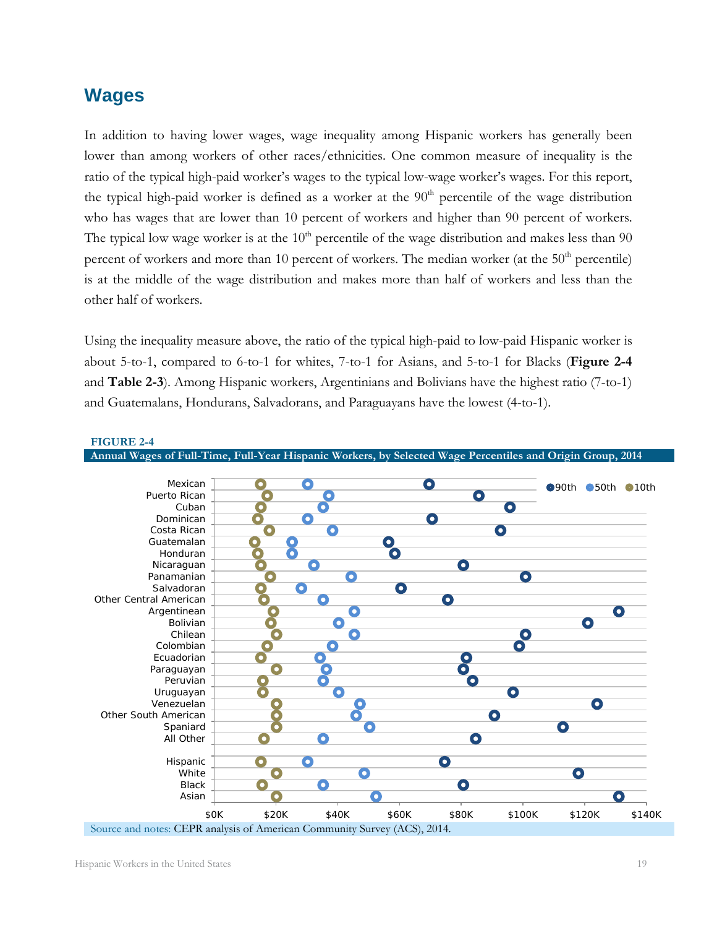### <span id="page-20-0"></span>**Wages**

In addition to having lower wages, wage inequality among Hispanic workers has generally been lower than among workers of other races/ethnicities. One common measure of inequality is the ratio of the typical high-paid worker's wages to the typical low-wage worker's wages. For this report, the typical high-paid worker is defined as a worker at the  $90<sup>th</sup>$  percentile of the wage distribution who has wages that are lower than 10 percent of workers and higher than 90 percent of workers. The typical low wage worker is at the  $10<sup>th</sup>$  percentile of the wage distribution and makes less than 90 percent of workers and more than 10 percent of workers. The median worker (at the 50<sup>th</sup> percentile) is at the middle of the wage distribution and makes more than half of workers and less than the other half of workers.

Using the inequality measure above, the ratio of the typical high-paid to low-paid Hispanic worker is about 5-to-1, compared to 6-to-1 for whites, 7-to-1 for Asians, and 5-to-1 for Blacks (**Figure 2-4** and **Table 2-3**). Among Hispanic workers, Argentinians and Bolivians have the highest ratio (7-to-1) and Guatemalans, Hondurans, Salvadorans, and Paraguayans have the lowest (4-to-1).

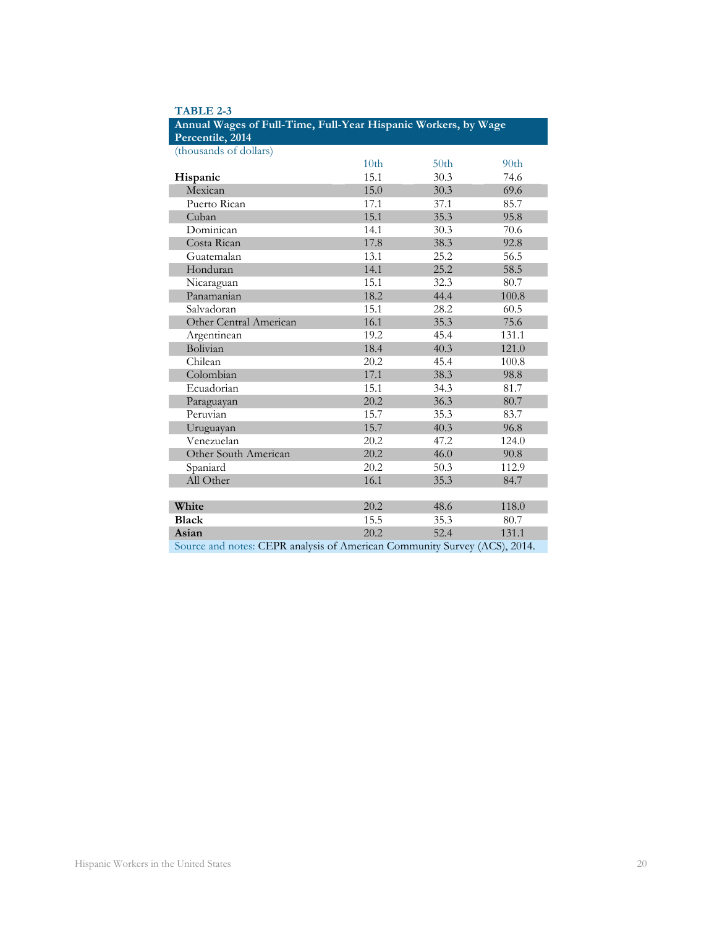| Annual Wages of Full-Time, Full-Year Hispanic Workers, by Wage            |                  |                  |                  |  |  |  |
|---------------------------------------------------------------------------|------------------|------------------|------------------|--|--|--|
| Percentile, 2014                                                          |                  |                  |                  |  |  |  |
| (thousands of dollars)                                                    |                  |                  |                  |  |  |  |
|                                                                           | 10 <sub>th</sub> | 50 <sub>th</sub> | 90 <sub>th</sub> |  |  |  |
| Hispanic                                                                  | 15.1             | 30.3             | 74.6             |  |  |  |
| Mexican                                                                   | 15.0             | 30.3             | 69.6             |  |  |  |
| Puerto Rican                                                              | 17.1             | 37.1             | 85.7             |  |  |  |
| Cuban                                                                     | 15.1             | 35.3             | 95.8             |  |  |  |
| Dominican                                                                 | 14.1             | 30.3             | 70.6             |  |  |  |
| Costa Rican                                                               | 17.8             | 38.3             | 92.8             |  |  |  |
| Guatemalan                                                                | 13.1             | 25.2             | 56.5             |  |  |  |
| Honduran                                                                  | 14.1             | 25.2             | 58.5             |  |  |  |
| Nicaraguan                                                                | 15.1             | 32.3             | 80.7             |  |  |  |
| Panamanian                                                                | 18.2             | 44.4             | 100.8            |  |  |  |
| Salvadoran                                                                | 15.1             | 28.2             | 60.5             |  |  |  |
| Other Central American                                                    | 16.1             | 35.3             | 75.6             |  |  |  |
| Argentinean                                                               | 19.2             | 45.4             | 131.1            |  |  |  |
| Bolivian                                                                  | 18.4             | 40.3             | 121.0            |  |  |  |
| Chilean                                                                   | 20.2             | 45.4             | 100.8            |  |  |  |
| Colombian                                                                 | 17.1             | 38.3             | 98.8             |  |  |  |
| Ecuadorian                                                                | 15.1             | 34.3             | 81.7             |  |  |  |
| Paraguayan                                                                | 20.2             | 36.3             | 80.7             |  |  |  |
| Peruvian                                                                  | 15.7             | 35.3             | 83.7             |  |  |  |
| Uruguayan                                                                 | 15.7             | 40.3             | 96.8             |  |  |  |
| Venezuelan                                                                | 20.2             | 47.2             | 124.0            |  |  |  |
| Other South American                                                      | 20.2             | 46.0             | 90.8             |  |  |  |
| Spaniard                                                                  | 20.2             | 50.3             | 112.9            |  |  |  |
| All Other                                                                 | 16.1             | 35.3             | 84.7             |  |  |  |
|                                                                           |                  |                  |                  |  |  |  |
| White                                                                     | 20.2             | 48.6             | 118.0            |  |  |  |
| <b>Black</b>                                                              | 15.5             | 35.3             | 80.7             |  |  |  |
| Asian                                                                     | 20.2             | 52.4             | 131.1            |  |  |  |
| Source and notes: CEPR analysis of American Community Survey (ACS), 2014. |                  |                  |                  |  |  |  |

| <b>TABLE 2-3</b> |                            |  |
|------------------|----------------------------|--|
| $-1.777$         | <b>CONTRACT AND PERSON</b> |  |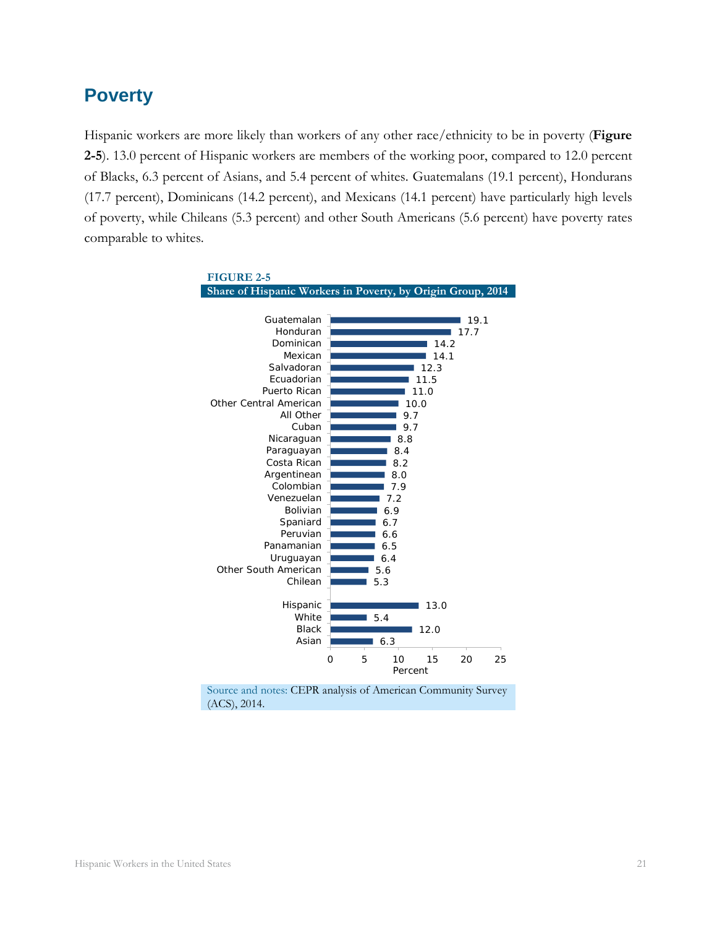### <span id="page-22-0"></span>**Poverty**

Hispanic workers are more likely than workers of any other race/ethnicity to be in poverty (**Figure 2-5**). 13.0 percent of Hispanic workers are members of the working poor, compared to 12.0 percent of Blacks, 6.3 percent of Asians, and 5.4 percent of whites. Guatemalans (19.1 percent), Hondurans (17.7 percent), Dominicans (14.2 percent), and Mexicans (14.1 percent) have particularly high levels of poverty, while Chileans (5.3 percent) and other South Americans (5.6 percent) have poverty rates comparable to whites.

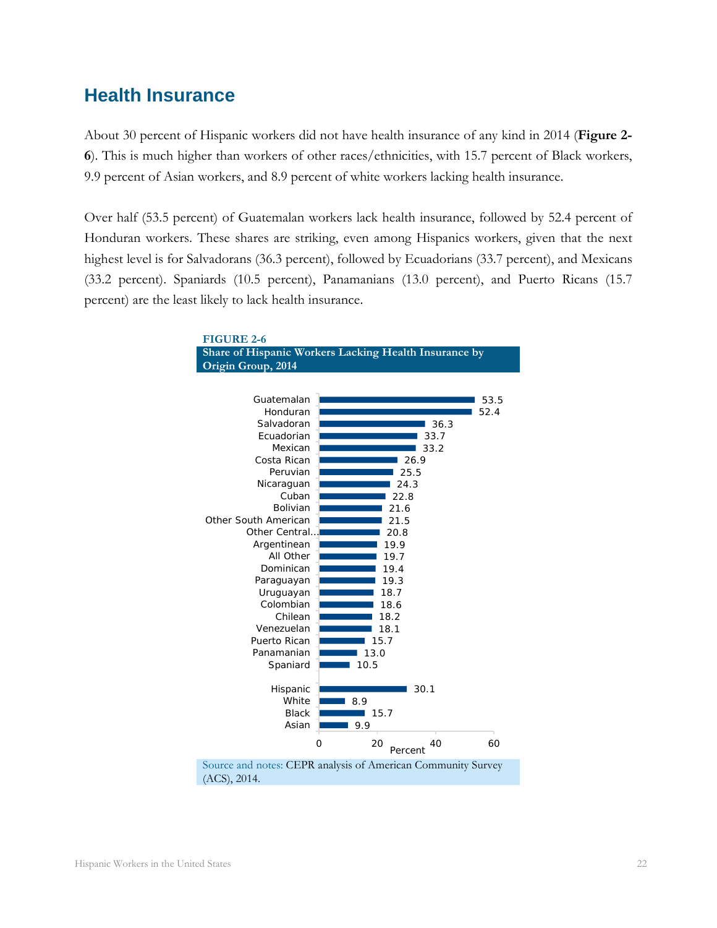### <span id="page-23-0"></span>**Health Insurance**

About 30 percent of Hispanic workers did not have health insurance of any kind in 2014 (**Figure 2- 6**). This is much higher than workers of other races/ethnicities, with 15.7 percent of Black workers, 9.9 percent of Asian workers, and 8.9 percent of white workers lacking health insurance.

Over half (53.5 percent) of Guatemalan workers lack health insurance, followed by 52.4 percent of Honduran workers. These shares are striking, even among Hispanics workers, given that the next highest level is for Salvadorans (36.3 percent), followed by Ecuadorians (33.7 percent), and Mexicans (33.2 percent). Spaniards (10.5 percent), Panamanians (13.0 percent), and Puerto Ricans (15.7 percent) are the least likely to lack health insurance.

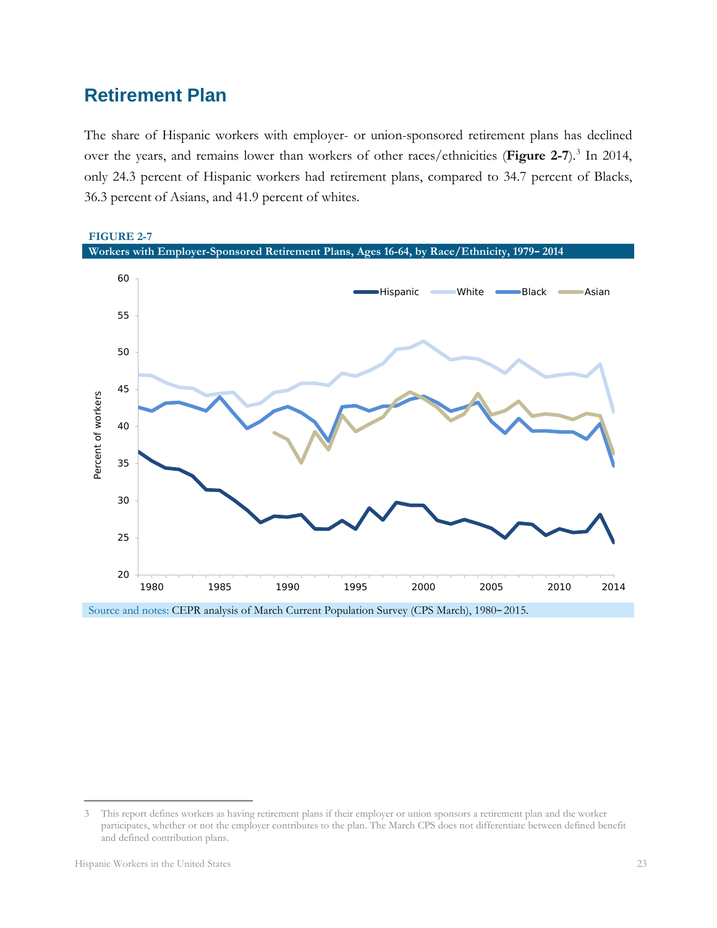# <span id="page-24-0"></span>**Retirement Plan**

The share of Hispanic workers with employer- or union-sponsored retirement plans has declined over the years, and remains lower than workers of other races/ethnicities (**Figure 2-7**). [3](#page-24-1) In 2014, only 24.3 percent of Hispanic workers had retirement plans, compared to 34.7 percent of Blacks, 36.3 percent of Asians, and 41.9 percent of whites.



Source and notes: CEPR analysis of March Current Population Survey (CPS March), 1980–2015.

 $\overline{a}$ 

<span id="page-24-1"></span><sup>3</sup> This report defines workers as having retirement plans if their employer or union sponsors a retirement plan and the worker participates, whether or not the employer contributes to the plan. The March CPS does not differentiate between defined benefit and defined contribution plans.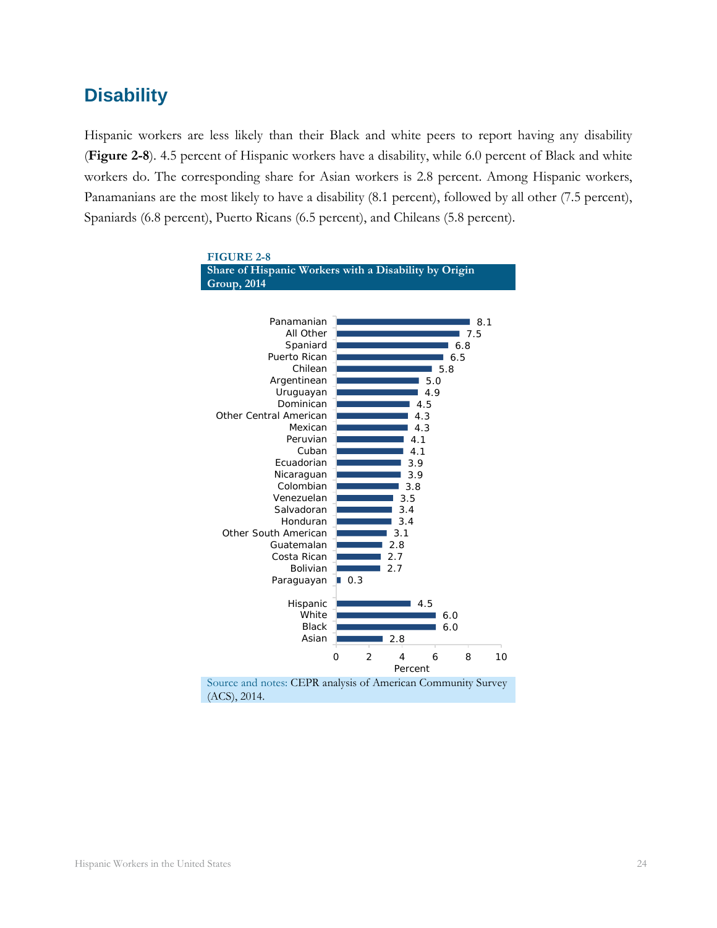# <span id="page-25-0"></span>**Disability**

Hispanic workers are less likely than their Black and white peers to report having any disability (**Figure 2-8**). 4.5 percent of Hispanic workers have a disability, while 6.0 percent of Black and white workers do. The corresponding share for Asian workers is 2.8 percent. Among Hispanic workers, Panamanians are the most likely to have a disability (8.1 percent), followed by all other (7.5 percent), Spaniards (6.8 percent), Puerto Ricans (6.5 percent), and Chileans (5.8 percent).

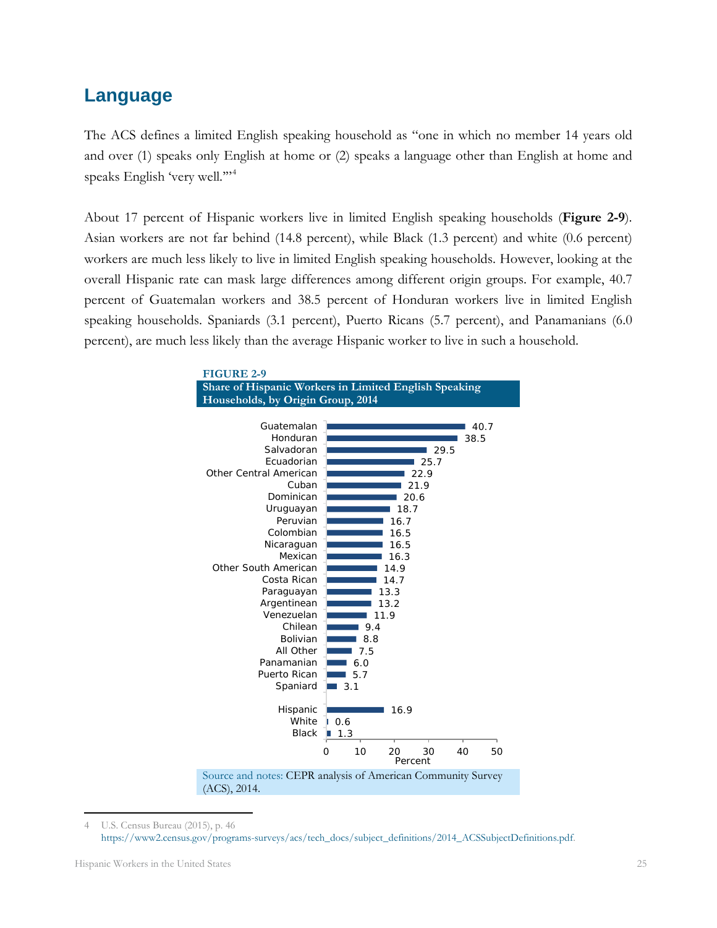### <span id="page-26-0"></span>**Language**

The ACS defines a limited English speaking household as "one in which no member 14 years old and over (1) speaks only English at home or (2) speaks a language other than English at home and speaks English 'very well."<sup>[4](#page-26-1)</sup>

About 17 percent of Hispanic workers live in limited English speaking households (**Figure 2-9**). Asian workers are not far behind (14.8 percent), while Black (1.3 percent) and white (0.6 percent) workers are much less likely to live in limited English speaking households. However, looking at the overall Hispanic rate can mask large differences among different origin groups. For example, 40.7 percent of Guatemalan workers and 38.5 percent of Honduran workers live in limited English speaking households. Spaniards (3.1 percent), Puerto Ricans (5.7 percent), and Panamanians (6.0 percent), are much less likely than the average Hispanic worker to live in such a household.



<span id="page-26-1"></span><sup>4</sup> U.S. Census Bureau (2015), p. 46 [https://www2.census.gov/programs-surveys/acs/tech\\_docs/subject\\_definitions/2014\\_ACSSubjectDefinitions.pdf.](https://www2.census.gov/programs-surveys/acs/tech_docs/subject_definitions/2014_ACSSubjectDefinitions.pdf)  $\overline{a}$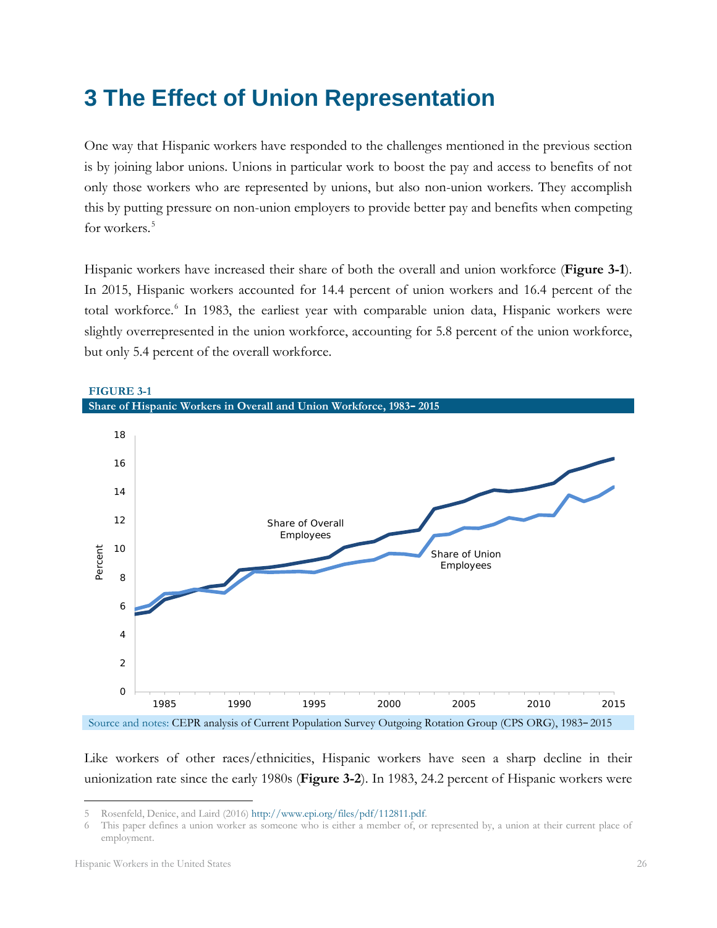# <span id="page-27-0"></span>**3 The Effect of Union Representation**

One way that Hispanic workers have responded to the challenges mentioned in the previous section is by joining labor unions. Unions in particular work to boost the pay and access to benefits of not only those workers who are represented by unions, but also non-union workers. They accomplish this by putting pressure on non-union employers to provide better pay and benefits when competing for workers. [5](#page-27-1)

Hispanic workers have increased their share of both the overall and union workforce (**Figure 3-1**). In 2015, Hispanic workers accounted for 14.4 percent of union workers and 16.4 percent of the total workforce. [6](#page-27-2) In 1983, the earliest year with comparable union data, Hispanic workers were slightly overrepresented in the union workforce, accounting for 5.8 percent of the union workforce, but only 5.4 percent of the overall workforce.



Source and notes: CEPR analysis of Current Population Survey Outgoing Rotation Group (CPS ORG), 1983–2015

Like workers of other races/ethnicities, Hispanic workers have seen a sharp decline in their unionization rate since the early 1980s (**Figure 3-2**). In 1983, 24.2 percent of Hispanic workers were

 $\overline{a}$ 

**FIGURE 3-1**

<span id="page-27-1"></span><sup>5</sup> Rosenfeld, Denice, and Laird (2016[\) http://www.epi.org/files/pdf/112811.pdf.](http://www.epi.org/files/pdf/112811.pdf)

<span id="page-27-2"></span><sup>6</sup> This paper defines a union worker as someone who is either a member of, or represented by, a union at their current place of employment.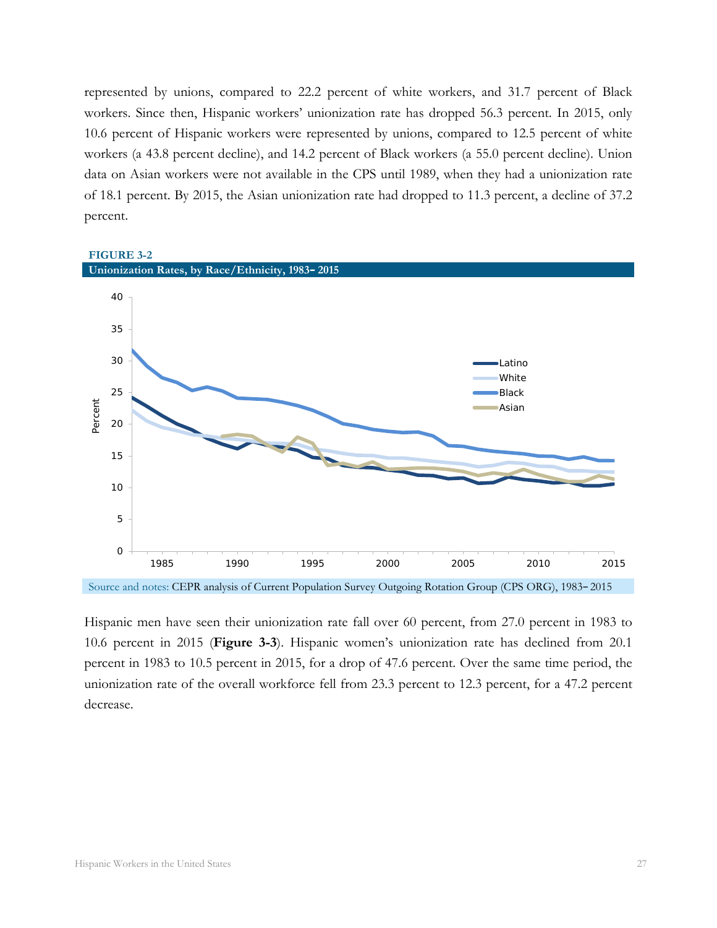represented by unions, compared to 22.2 percent of white workers, and 31.7 percent of Black workers. Since then, Hispanic workers' unionization rate has dropped 56.3 percent. In 2015, only 10.6 percent of Hispanic workers were represented by unions, compared to 12.5 percent of white workers (a 43.8 percent decline), and 14.2 percent of Black workers (a 55.0 percent decline). Union data on Asian workers were not available in the CPS until 1989, when they had a unionization rate of 18.1 percent. By 2015, the Asian unionization rate had dropped to 11.3 percent, a decline of 37.2 percent.

### **FIGURE 3-2 Unionization Rates, by Race/Ethnicity, 1983–2015**  $\overline{O}$ 5 10 15 20 25 30 35 40 1985 1990 1995 2000 2005 2010 2015 Percent Latino **White** Black Asian

Source and notes: CEPR analysis of Current Population Survey Outgoing Rotation Group (CPS ORG), 1983–2015

Hispanic men have seen their unionization rate fall over 60 percent, from 27.0 percent in 1983 to 10.6 percent in 2015 (**Figure 3-3**). Hispanic women's unionization rate has declined from 20.1 percent in 1983 to 10.5 percent in 2015, for a drop of 47.6 percent. Over the same time period, the unionization rate of the overall workforce fell from 23.3 percent to 12.3 percent, for a 47.2 percent decrease.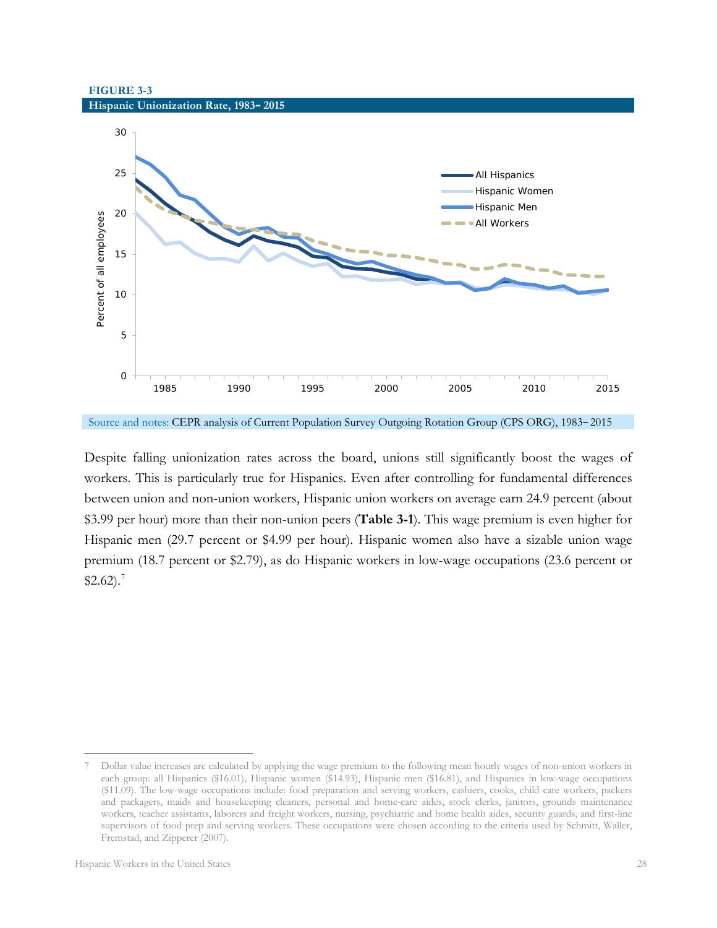**FIGURE 3-3 Hispanic Unionization Rate, 1983–2015**



Source and notes: CEPR analysis of Current Population Survey Outgoing Rotation Group (CPS ORG), 1983–2015

Despite falling unionization rates across the board, unions still significantly boost the wages of workers. This is particularly true for Hispanics. Even after controlling for fundamental differences between union and non-union workers, Hispanic union workers on average earn 24.9 percent (about \$3.99 per hour) more than their non-union peers (**Table 3-1**). This wage premium is even higher for Hispanic men (29.7 percent or \$4.99 per hour). Hispanic women also have a sizable union wage premium (18.7 percent or \$2.79), as do Hispanic workers in low-wage occupations (23.6 percent or  $$2.62$ ).<sup>[7](#page-29-0)</sup>

 $\overline{a}$ 

<span id="page-29-0"></span><sup>7</sup> Dollar value increases are calculated by applying the wage premium to the following mean hourly wages of non-union workers in each group: all Hispanics (\$16.01), Hispanic women (\$14.93), Hispanic men (\$16.81), and Hispanics in low-wage occupations (\$11.09). The low-wage occupations include: food preparation and serving workers, cashiers, cooks, child care workers, packers and packagers, maids and housekeeping cleaners, personal and home-care aides, stock clerks, janitors, grounds maintenance workers, teacher assistants, laborers and freight workers, nursing, psychiatric and home health aides, security guards, and first-line supervisors of food prep and serving workers. These occupations were chosen according to the criteria used by Schmitt, Waller, Fremstad, and Zipperer (2007).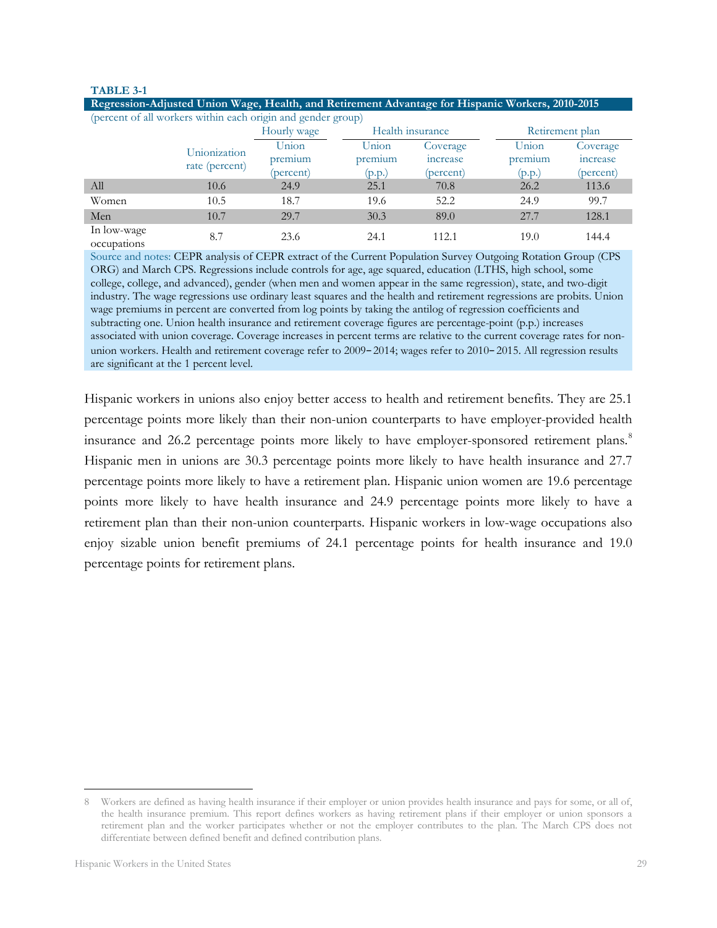#### **TABLE 3-1**

| Tregression trajusted Union wage, freating and recurringing the emanage for frispance workers, 2010 2010 |                                |             |                  |           |                 |           |  |  |  |
|----------------------------------------------------------------------------------------------------------|--------------------------------|-------------|------------------|-----------|-----------------|-----------|--|--|--|
| (percent of all workers within each origin and gender group)                                             |                                |             |                  |           |                 |           |  |  |  |
|                                                                                                          |                                | Hourly wage | Health insurance |           | Retirement plan |           |  |  |  |
|                                                                                                          | Unionization<br>rate (percent) | Union       | Union            | Coverage  | Union           | Coverage  |  |  |  |
|                                                                                                          |                                | premium     | premium          | increase  | premium         | increase  |  |  |  |
|                                                                                                          |                                | (percent)   | (p.p.)           | (percent) | (p.p.)          | (percent) |  |  |  |
| All                                                                                                      | 10.6                           | 24.9        | 25.1             | 70.8      | 26.2            | 113.6     |  |  |  |
| Women                                                                                                    | 10.5                           | 18.7        | 19.6             | 52.2      | 24.9            | 99.7      |  |  |  |
| Men                                                                                                      | 10.7                           | 29.7        | 30.3             | 89.0      | 27.7            | 128.1     |  |  |  |
| In low-wage<br>occupations                                                                               | 8.7                            | 23.6        | 24.1             | 112.1     | 19.0            | 144.4     |  |  |  |

**Regression-Adjusted Union Wage, Health, and Retirement Advantage for Hispanic Workers, 2010-2015**

Source and notes: CEPR analysis of CEPR extract of the Current Population Survey Outgoing Rotation Group (CPS ORG) and March CPS. Regressions include controls for age, age squared, education (LTHS, high school, some college, college, and advanced), gender (when men and women appear in the same regression), state, and two-digit industry. The wage regressions use ordinary least squares and the health and retirement regressions are probits. Union wage premiums in percent are converted from log points by taking the antilog of regression coefficients and subtracting one. Union health insurance and retirement coverage figures are percentage-point (p.p.) increases associated with union coverage. Coverage increases in percent terms are relative to the current coverage rates for nonunion workers. Health and retirement coverage refer to 2009–2014; wages refer to 2010–2015. All regression results are significant at the 1 percent level.

Hispanic workers in unions also enjoy better access to health and retirement benefits. They are 25.1 percentage points more likely than their non-union counterparts to have employer-provided health insurance and 26.2 percentage points more likely to have employer-sponsored retirement plans.<sup>[8](#page-30-0)</sup> Hispanic men in unions are 30.3 percentage points more likely to have health insurance and 27.7 percentage points more likely to have a retirement plan. Hispanic union women are 19.6 percentage points more likely to have health insurance and 24.9 percentage points more likely to have a retirement plan than their non-union counterparts. Hispanic workers in low-wage occupations also enjoy sizable union benefit premiums of 24.1 percentage points for health insurance and 19.0 percentage points for retirement plans.

<span id="page-30-0"></span><sup>8</sup> Workers are defined as having health insurance if their employer or union provides health insurance and pays for some, or all of, the health insurance premium. This report defines workers as having retirement plans if their employer or union sponsors a retirement plan and the worker participates whether or not the employer contributes to the plan. The March CPS does not differentiate between defined benefit and defined contribution plans.  $\overline{a}$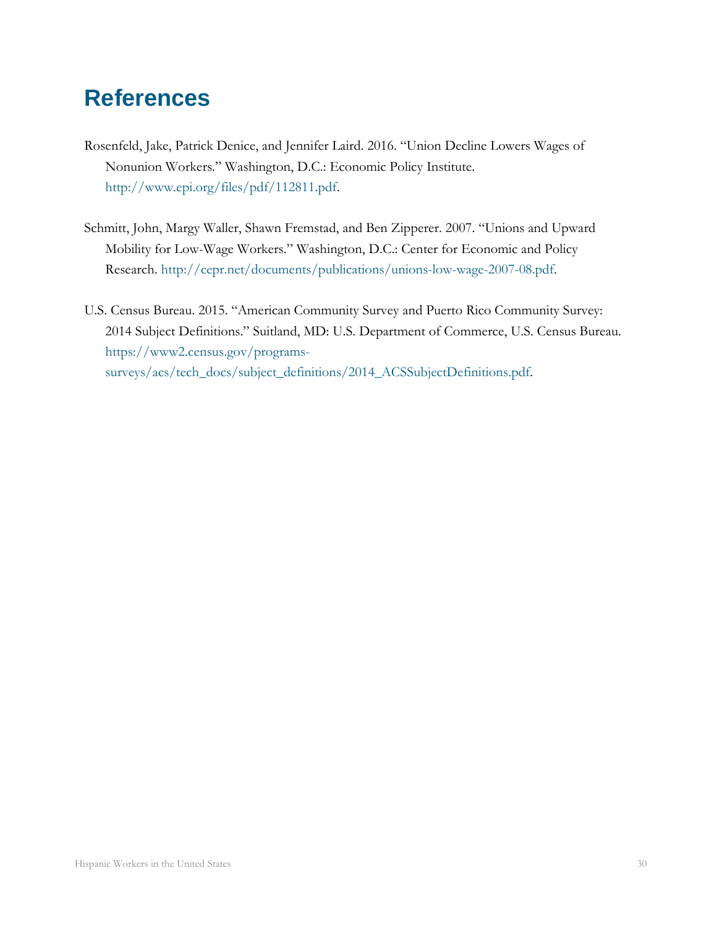# <span id="page-31-0"></span>**References**

- Rosenfeld, Jake, Patrick Denice, and Jennifer Laird. 2016. "Union Decline Lowers Wages of Nonunion Workers." Washington, D.C.: Economic Policy Institute. [http://www.epi.org/files/pdf/112811.pdf.](http://www.epi.org/files/pdf/112811.pdf)
- Schmitt, John, Margy Waller, Shawn Fremstad, and Ben Zipperer. 2007. "Unions and Upward Mobility for Low-Wage Workers." Washington, D.C.: Center for Economic and Policy Research. [http://cepr.net/documents/publications/unions-low-wage-2007-08.pdf.](http://cepr.net/documents/publications/unions-low-wage-2007-08.pdf)
- U.S. Census Bureau. 2015. "American Community Survey and Puerto Rico Community Survey: 2014 Subject Definitions." Suitland, MD: U.S. Department of Commerce, U.S. Census Bureau. [https://www2.census.gov/programs](https://www2.census.gov/programs-surveys/acs/tech_docs/subject_definitions/2014_ACSSubjectDefinitions.pdf)[surveys/acs/tech\\_docs/subject\\_definitions/2014\\_ACSSubjectDefinitions.pdf.](https://www2.census.gov/programs-surveys/acs/tech_docs/subject_definitions/2014_ACSSubjectDefinitions.pdf)